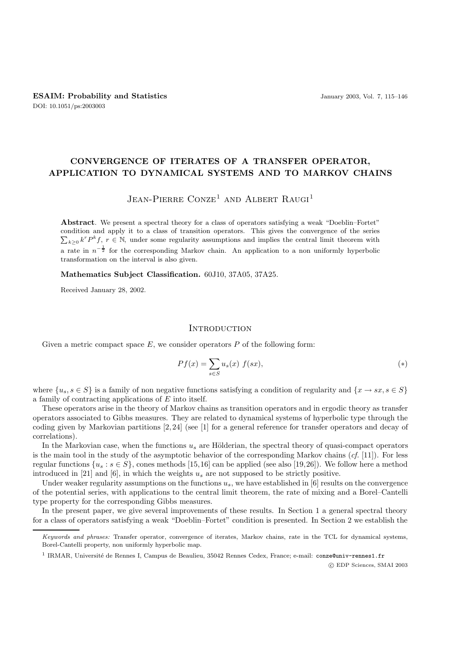# **CONVERGENCE OF ITERATES OF A TRANSFER OPERATOR, APPLICATION TO DYNAMICAL SYSTEMS AND TO MARKOV CHAINS**

## $J$ ean-Pierre Conze<sup>1</sup> and Albert Raugi<sup>1</sup>

**Abstract**. We present a spectral theory for a class of operators satisfying a weak "Doeblin–Fortet"  $\sum_{k\geq 0} k^r P^k f$ ,  $r \in \mathbb{N}$ , under some regularity assumptions and implies the central limit theorem with condition and apply it to a class of transition operators. This gives the convergence of the series a rate in  $n^{-\frac{1}{2}}$  for the corresponding Markov chain. An application to a non uniformly hyperbolic transformation on the interval is also given.

**Mathematics Subject Classification.** 60J10, 37A05, 37A25.

Received January 28, 2002.

#### **INTRODUCTION**

Given a metric compact space  $E$ , we consider operators  $P$  of the following form:

$$
Pf(x) = \sum_{s \in S} u_s(x) f(sx), \tag{*}
$$

where  $\{u_s, s \in S\}$  is a family of non negative functions satisfying a condition of regularity and  $\{x \to sx, s \in S\}$ a family of contracting applications of E into itself.

These operators arise in the theory of Markov chains as transition operators and in ergodic theory as transfer operators associated to Gibbs measures. They are related to dynamical systems of hyperbolic type through the coding given by Markovian partitions [2, 24] (see [1] for a general reference for transfer operators and decay of correlations).

In the Markovian case, when the functions  $u_s$  are Hölderian, the spectral theory of quasi-compact operators is the main tool in the study of the asymptotic behavior of the corresponding Markov chains (*cf.* [11]). For less regular functions  $\{u_s : s \in S\}$ , cones methods [15,16] can be applied (see also [19,26]). We follow here a method introduced in [21] and [6], in which the weights  $u_s$  are not supposed to be strictly positive.

Under weaker regularity assumptions on the functions  $u_s$ , we have established in [6] results on the convergence of the potential series, with applications to the central limit theorem, the rate of mixing and a Borel–Cantelli type property for the corresponding Gibbs measures.

In the present paper, we give several improvements of these results. In Section 1 a general spectral theory for a class of operators satisfying a weak "Doeblin–Fortet" condition is presented. In Section 2 we establish the

c EDP Sciences, SMAI 2003

Keywords and phrases: Transfer operator, convergence of iterates, Markov chains, rate in the TCL for dynamical systems, Borel-Cantelli property, non uniformly hyperbolic map.

<sup>&</sup>lt;sup>1</sup> IRMAR, Université de Rennes I, Campus de Beaulieu, 35042 Rennes Cedex, France; e-mail: conze@univ-rennes1.fr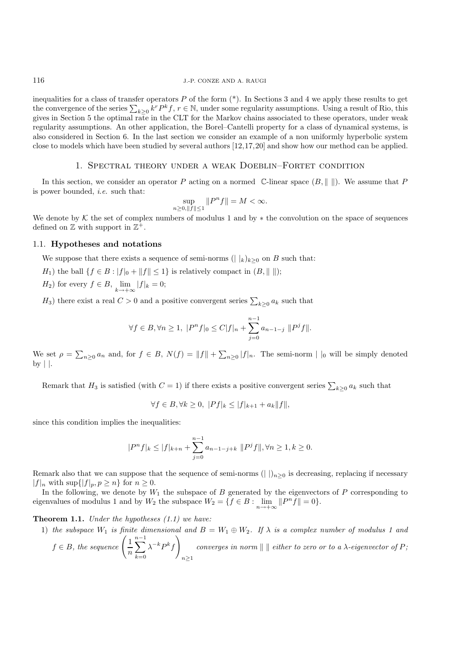inequalities for a class of transfer operators  $P$  of the form  $(*)$ . In Sections 3 and 4 we apply these results to get the convergence of the series  $\sum_{k\geq 0} k^r P^k f$ ,  $r \in \mathbb{N}$ , under some regularity assumptions. Using a result of Rio, this gives in Section 5 the optimal rate in the CLT for the Markov chains associated to these operators, under weak regularity assumptions. An other application, the Borel–Cantelli property for a class of dynamical systems, is also considered in Section 6. In the last section we consider an example of a non uniformly hyperbolic system close to models which have been studied by several authors [12,17,20] and show how our method can be applied.

#### 1. Spectral theory under a weak Doeblin–Fortet condition

In this section, we consider an operator P acting on a normed  $\mathbb{C}$ -linear space  $(B, \|\ \|)$ . We assume that P is power bounded, *i.e.* such that:

$$
\sup_{n\geq 0,\|f\|\leq 1}\|P^nf\|=M<\infty.
$$

We denote by K the set of complex numbers of modulus 1 and by  $*$  the convolution on the space of sequences defined on  $\mathbb Z$  with support in  $\mathbb Z^+$ .

#### 1.1. **Hypotheses and notations**

We suppose that there exists a sequence of semi-norms ( $||k\rangle_{k>0}$  on B such that:

- H<sub>1</sub>) the ball  $\{f \in B : |f|_0 + ||f|| \leq 1\}$  is relatively compact in  $(B, ||\ ||);$
- $H_2$ ) for every  $f \in B$ ,  $\lim_{k \to +\infty} |f|_k = 0$ ;

 $H_3$ ) there exist a real  $C > 0$  and a positive convergent series  $\sum_{k \geq 0} a_k$  such that

$$
\forall f \in B, \forall n \ge 1, \ |P^n f|_0 \le C|f|_n + \sum_{j=0}^{n-1} a_{n-1-j} \|P^j f\|.
$$

We set  $\rho = \sum_{n\geq 0} a_n$  and, for  $f \in B$ ,  $N(f) = ||f|| + \sum_{n\geq 0} |f|_n$ . The semi-norm  $||f||_0$  will be simply denoted by  $| \cdot |$ .

Remark that  $H_3$  is satisfied (with  $C = 1$ ) if there exists a positive convergent series  $\sum_{k \geq 0} a_k$  such that

$$
\forall f \in B, \forall k \ge 0, \ |Pf|_k \le |f|_{k+1} + a_k \|f\|,
$$

since this condition implies the inequalities:

$$
|P^n f|_k \le |f|_{k+n} + \sum_{j=0}^{n-1} a_{n-1-j+k} ||P^j f||, \forall n \ge 1, k \ge 0.
$$

Remark also that we can suppose that the sequence of semi-norms ( $|| \nvert_{n\geq 0}$  is decreasing, replacing if necessary  $|f|_n$  with  $\sup\{|f|_p, p \geq n\}$  for  $n \geq 0$ .

In the following, we denote by  $W_1$  the subspace of  $B$  generated by the eigenvectors of  $P$  corresponding to eigenvalues of modulus 1 and by  $W_2$  the subspace  $W_2 = \{f \in B : \lim_{h \to \infty} ||P^n f|| = 0\}.$ 

**Theorem 1.1.** *Under the hypotheses (1.1) we have:*

1) the subspace 
$$
W_1
$$
 is finite dimensional and  $B = W_1 \oplus W_2$ . If  $\lambda$  is a complex number of modulus 1 and  $f \in B$ , the sequence  $\left(\frac{1}{n}\sum_{k=0}^{n-1} \lambda^{-k} P^k f\right)_{n\geq 1}$  converges in norm  $|| \cdot ||$  either to zero or to a  $\lambda$ -eigenvector of  $P$ ;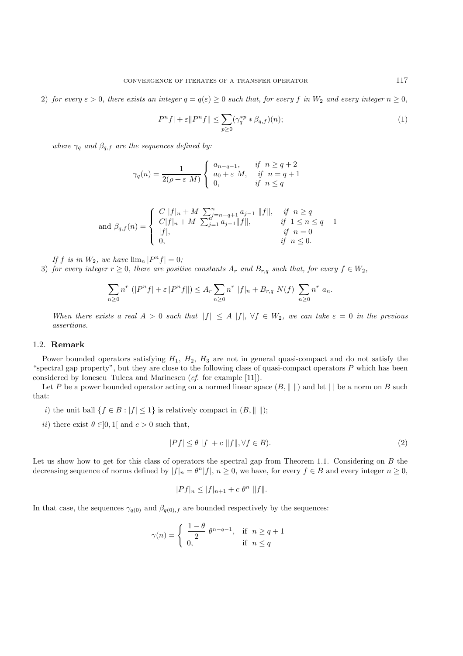2) *for every*  $\varepsilon > 0$ *, there exists an integer*  $q = q(\varepsilon) \ge 0$  *such that, for every* f *in*  $W_2$  *and every integer*  $n \ge 0$ *,* 

$$
|P^n f| + \varepsilon \|P^n f\| \le \sum_{p \ge 0} (\gamma_q^{*p} * \beta_{q,f})(n); \tag{1}
$$

*where*  $\gamma_q$  *and*  $\beta_{q,f}$  *are the sequences defined by:* 

$$
\gamma_q(n) = \frac{1}{2(\rho + \varepsilon M)} \begin{cases} a_{n-q-1}, & \text{if } n \ge q+2 \\ a_0 + \varepsilon M, & \text{if } n = q+1 \\ 0, & \text{if } n \le q \end{cases}
$$

and 
$$
\beta_{q,f}(n) = \begin{cases} C ||f||_n + M \sum_{j=n-q+1}^{n} a_{j-1} ||f||, & \text{if } n \ge q \\ C ||f||_n + M \sum_{j=1}^{n} a_{j-1} ||f||, & \text{if } 1 \le n \le q-1 \\ ||f||, & \text{if } n = 0 \\ 0, & \text{if } n \le 0. \end{cases}
$$

*If* f is in  $W_2$ , we have  $\lim_n |P^n f| = 0$ ;

3) *for every integer*  $r \geq 0$ *, there are positive constants*  $A_r$  *and*  $B_{r,q}$  *such that, for every*  $f \in W_2$ *,* 

$$
\sum_{n\geq 0} n^r \ (|P^n f| + \varepsilon \|P^n f\|) \leq A_r \sum_{n\geq 0} n^r \ |f|_n + B_{r,q} \ N(f) \ \sum_{n\geq 0} n^r \ a_n.
$$

*When there exists a real*  $A > 0$  *such that*  $||f|| \leq A |f|$ ,  $\forall f \in W_2$ , we can take  $\varepsilon = 0$  *in the previous assertions.*

#### 1.2. **Remark**

Power bounded operators satisfying  $H_1$ ,  $H_2$ ,  $H_3$  are not in general quasi-compact and do not satisfy the "spectral gap property", but they are close to the following class of quasi-compact operators  $P$  which has been considered by Ionescu–Tulcea and Marinescu (*cf.* for example [11]).

Let P be a power bounded operator acting on a normed linear space  $(B, \|\ \|)$  and let  $\|\ \|$  be a norm on B such that:

- i) the unit ball  $\{f \in B : |f| \leq 1\}$  is relatively compact in  $(B, \| \|)$ ;
- ii) there exist  $\theta \in ]0,1[$  and  $c > 0$  such that,

$$
|Pf| \le \theta \ |f| + c \ \|f\|, \forall f \in B). \tag{2}
$$

Let us show how to get for this class of operators the spectral gap from Theorem 1.1. Considering on B the decreasing sequence of norms defined by  $|f|_n = \theta^n |f|$ ,  $n \ge 0$ , we have, for every  $f \in B$  and every integer  $n \ge 0$ ,

$$
|Pf|_n \le |f|_{n+1} + c \theta^n \|f\|.
$$

In that case, the sequences  $\gamma_{q(0)}$  and  $\beta_{q(0),f}$  are bounded respectively by the sequences:

$$
\gamma(n) = \begin{cases} \frac{1-\theta}{2} \theta^{n-q-1}, & \text{if } n \ge q+1 \\ 0, & \text{if } n \le q \end{cases}
$$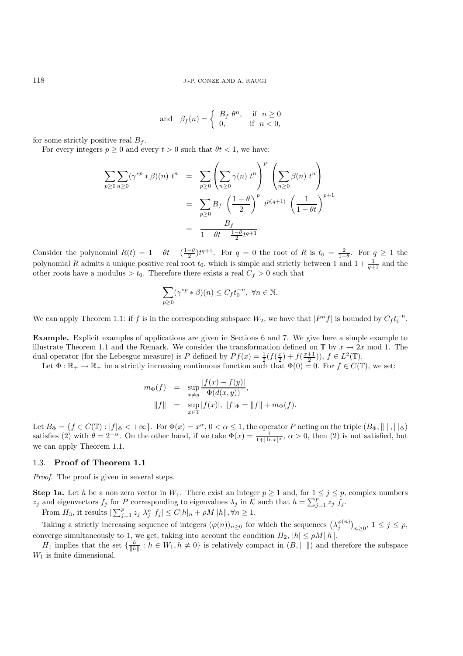$$
\text{and} \quad \beta_f(n) = \left\{ \begin{array}{ll} B_f \ \theta^n, & \text{if} \ \ n \ge 0 \\ 0, & \text{if} \ \ n < 0, \end{array} \right.
$$

for some strictly positive real  $B_f$ .

For every integers  $p \ge 0$  and every  $t > 0$  such that  $\theta t < 1$ , we have:

$$
\sum_{p\geq 0} \sum_{n\geq 0} (\gamma^{*p} * \beta)(n) t^{n} = \sum_{p\geq 0} \left( \sum_{n\geq 0} \gamma(n) t^{n} \right)^{p} \left( \sum_{n\geq 0} \beta(n) t^{n} \right)
$$
  
= 
$$
\sum_{p\geq 0} B_{f} \left( \frac{1-\theta}{2} \right)^{p} t^{p(q+1)} \left( \frac{1}{1-\theta t} \right)^{p+1}
$$
  
= 
$$
\frac{B_{f}}{1-\theta t - \frac{1-\theta}{2}t^{q+1}}.
$$

Consider the polynomial  $R(t) = 1 - \theta t - \left(\frac{1-\theta}{2}\right)t^{q+1}$ . For  $q = 0$  the root of R is  $t_0 = \frac{2}{1+\theta}$ . For  $q \ge 1$  the polynomial R admits a unique positive real root  $t_0$ , which is simple and strictly between 1 and  $1 + \frac{1}{q+1}$  and the other roots have a modulus  $>t_0$ . Therefore there exists a real  $C_f > 0$  such that

$$
\sum_{p\geq 0} (\gamma^{*p} * \beta)(n) \leq C_f t_0^{-n}, \ \forall n \in \mathbb{N}.
$$

We can apply Theorem 1.1: if f is in the corresponding subspace  $W_2$ , we have that  $|P^n f|$  is bounded by  $C_f t_0^{-n}$ .

**Example.** Explicit examples of applications are given in Sections 6 and 7. We give here a simple example to illustrate Theorem 1.1 and the Remark. We consider the transformation defined on  $\mathbb{T}$  by  $x \to 2x$  mod 1. The dual operator (for the Lebesgue measure) is P defined by  $Pf(x) = \frac{1}{2}(f(\frac{x}{2}) + f(\frac{x+1}{2})), f \in L^2(\mathbb{T})$ .

Let  $\Phi : \mathbb{R}_+ \to \mathbb{R}_+$  be a strictly increasing continuous function such that  $\Phi(0) = 0$ . For  $f \in C(\mathbb{T})$ , we set:

$$
m_{\Phi}(f) = \sup_{x \neq y} \frac{|f(x) - f(y)|}{\Phi(d(x, y))},
$$
  
||f|| =  $\sup_{x \in \mathbb{T}} |f(x)|$ ,  $|f|_{\Phi} = ||f|| + m_{\Phi}(f)$ .

Let  $B_{\Phi} = \{f \in C(\mathbb{T}) : |f|_{\Phi} < +\infty\}$ . For  $\Phi(x) = x^{\alpha}, 0 < \alpha \leq 1$ , the operator P acting on the triple  $(B_{\Phi}, ||\,||, ||_{\Phi})$ satisfies (2) with  $\theta = 2^{-\alpha}$ . On the other hand, if we take  $\Phi(x) = \frac{1}{1+|\ln x|^{\alpha}}$ ,  $\alpha > 0$ , then (2) is not satisfied, but we can apply Theorem 1.1.

#### 1.3. **Proof of Theorem 1.1**

*Proof.* The proof is given in several steps.

**Step 1a.** Let h be a non zero vector in  $W_1$ . There exist an integer  $p \ge 1$  and, for  $1 \le j \le p$ , complex numbers  $z_j$  and eigenvectors  $f_j$  for P corresponding to eigenvalues  $\lambda_j$  in K such that  $h = \sum_{j=1}^p z_j f_j$ .

From  $H_3$ , it results  $\sum_{j=1}^p z_j \lambda_j^n f_j \leq C|h|_n + \rho M ||h||, \forall n \geq 1$ .

Taking a strictly increasing sequence of integers  $(\varphi(n))_{n\geq 0}$  for which the sequences  $(\lambda_j^{\varphi(n)})_{n\geq 0}$ ,  $1 \leq j \leq p$ , converge simultaneously to 1, we get, taking into account the condition  $H_2$ ,  $|h| \le \rho M ||h||$ .

 $H_1$  implies that the set  $\{\frac{h}{\|h\|}: h \in W_1, h \neq 0\}$  is relatively compact in  $(B, \|\ \|)$  and therefore the subspace  $W_1$  is finite dimensional.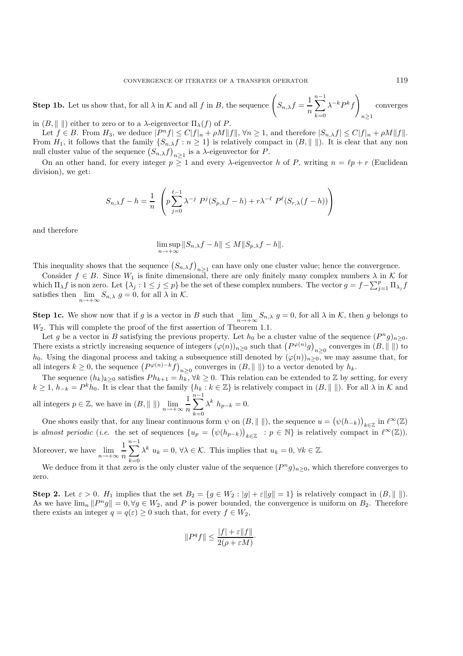**Step 1b.** Let us show that, for all  $\lambda$  in K and all f in B, the sequence  $\left(S_{n,\lambda}f = \frac{1}{n}\right)$  $\sum^{n-1}$  $k=0$  $\lambda^{-k} P^k f$  $n \geq 1$ converges

in  $(B, \|\ \|)$  either to zero or to a  $\lambda$ -eigenvector  $\Pi_{\lambda}(f)$  of P.

Let  $f \in B$ . From  $H_3$ , we deduce  $|P^n f| \le C |f|_n + \rho M ||f||$ ,  $\forall n \ge 1$ , and therefore  $|S_{n,\lambda} f| \le C |f|_n + \rho M ||f||$ . From  $H_1$ , it follows that the family  $\{S_{n,\lambda}f : n \geq 1\}$  is relatively compact in  $(B, \| \|)$ . It is clear that any non null cluster value of the sequence  $(S_{n,\lambda}f)_{n\geq 1}$  is a  $\lambda$ -eigenvector for P.

On an other hand, for every integer  $p \ge 1$  and every  $\lambda$ -eigenvector h of P, writing  $n = \ell p + r$  (Euclidean division), we get:

$$
S_{n,\lambda}f - h = \frac{1}{n} \left( p \sum_{j=0}^{\ell-1} \lambda^{-j} P^j(S_{p,\lambda}f - h) + r\lambda^{-\ell} P^{\ell}(S_{r,\lambda}(f - h)) \right)
$$

and therefore

$$
\limsup_{n \to +\infty} ||S_{n,\lambda}f - h|| \le M ||S_{p,\lambda}f - h||.
$$

This inequality shows that the sequence  $(S_{n,\lambda}f)_{n\geq 1}$  can have only one cluster value; hence the convergence.

Consider  $f \in B$ . Since  $W_1$  is finite dimensional, there are only finitely many complex numbers  $\lambda$  in K for which  $\Pi_{\lambda} f$  is non zero. Let  $\{\lambda_j : 1 \leq j \leq p\}$  be the set of these complex numbers. The vector  $g = f - \sum_{j=1}^p \Pi_{\lambda_j} f$ satisfies then  $\lim_{n \to +\infty} S_{n,\lambda} g = 0$ , for all  $\lambda$  in  $\mathcal{K}$ .

**Step 1c.** We show now that if g is a vector in B such that  $\lim_{n\to+\infty} S_{n,\lambda}$  g = 0, for all  $\lambda$  in K, then g belongs to  $W_2$ . This will complete the proof of the first assertion of Theorem 1.1.

Let g be a vector in B satisfying the previous property. Let  $h_0$  be a cluster value of the sequence  $(P^ng)_{n\geq 0}$ . There exists a strictly increasing sequence of integers  $(\varphi(n))_{n\geq 0}$  such that  $(P^{\varphi(n)}g)_{n\geq 0}$  converges in  $(B, \|\ \|)$  to h<sub>0</sub>. Using the diagonal process and taking a subsequence still denoted by  $(\varphi(n))_{n\geq 0}$ , we may assume that, for all integers  $k \geq 0$ , the sequence  $(P^{\varphi(n)-k}f)_{n\geq 0}$  converges in  $(B, \|\ \|)$  to a vector denoted by  $h_k$ .

The sequence  $(h_k)_{k\geq 0}$  satisfies  $Ph_{k+1} = h_k, \forall k \geq 0$ . This relation can be extended to Z by setting, for every  $k \geq 1$ ,  $h_{-k} = P^k h_0$ . It is clear that the family  $\{h_k : k \in \mathbb{Z}\}$  is relatively compact in  $(B, \| \|)$ . For all  $\lambda$  in K and all integers  $p \in \mathbb{Z}$ , we have in  $(B, \|\ \|)$   $\lim_{n \to +\infty} \frac{1}{n}$  $\sum^{n-1}$  $\lambda^k h_{p-k} = 0.$ 

n  $k=0$ One shows easily that, for any linear continuous form  $\psi$  on  $(B, \|\ \|)$ , the sequence  $u = (\psi(h_{-k}))_{k \in \mathbb{Z}}$  in  $\ell^{\infty}(\mathbb{Z})$ is *almost periodic* (*i.e.* the set of sequences  $\{u_p = (\psi(h_{p-k}))_{k \in \mathbb{Z}} : p \in \mathbb{N}\}\$ is relatively compact in  $\ell^{\infty}(\mathbb{Z})$ ).

Moreover, we have  $\lim_{n \to +\infty} \frac{1}{n}$ n  $\sum^{n-1}$  $k=0$  $\lambda^k u_k = 0, \forall \lambda \in \mathcal{K}$ . This implies that  $u_k = 0, \forall k \in \mathbb{Z}$ .

We deduce from it that zero is the only cluster value of the sequence  $(P^ng)_{n>0}$ , which therefore converges to zero.

**Step 2.** Let  $\varepsilon > 0$ .  $H_1$  implies that the set  $B_2 = \{g \in W_2 : |g| + \varepsilon ||g|| = 1\}$  is relatively compact in  $(B, \| \|)$ . As we have  $\lim_{n} ||P^{n}g|| = 0, \forall g \in W_2$ , and P is power bounded, the convergence is uniform on  $B_2$ . Therefore there exists an integer  $q = q(\varepsilon) \geq 0$  such that, for every  $f \in W_2$ ,

$$
||P^q f|| \le \frac{|f| + \varepsilon ||f||}{2(\rho + \varepsilon M)}.
$$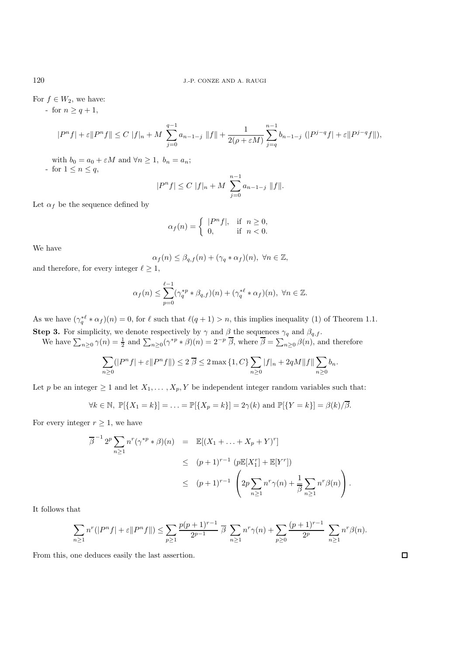For  $f \in W_2$ , we have:

- for  $n \geq q+1$ ,

$$
|P^n f| + \varepsilon \|P^n f\| \le C \|f\|_n + M \sum_{j=0}^{q-1} a_{n-1-j} \|f\| + \frac{1}{2(\rho + \varepsilon M)} \sum_{j=q}^{n-1} b_{n-1-j} (|P^{j-q} f| + \varepsilon \|P^{j-q} f\|),
$$

with  $b_0 = a_0 + \varepsilon M$  and  $\forall n \geq 1, b_n = a_n;$ 

- for  $1 \leq n \leq q$ ,

$$
|P^n f| \le C \ |f|_n + M \sum_{j=0}^{n-1} a_{n-1-j} \|f\|.
$$

Let  $\alpha_f$  be the sequence defined by

$$
\alpha_f(n) = \begin{cases} |P^n f|, & \text{if } n \ge 0, \\ 0, & \text{if } n < 0. \end{cases}
$$

We have

$$
\alpha_f(n) \leq \beta_{q,f}(n) + (\gamma_q * \alpha_f)(n), \ \forall n \in \mathbb{Z},
$$

and therefore, for every integer  $\ell \geq 1$ ,

$$
\alpha_f(n) \leq \sum_{p=0}^{\ell-1} (\gamma_q^{*p} * \beta_{q,f})(n) + (\gamma_q^{*\ell} * \alpha_f)(n), \ \forall n \in \mathbb{Z}.
$$

As we have  $(\gamma_q^{*\ell} * \alpha_f)(n) = 0$ , for  $\ell$  such that  $\ell(q + 1) > n$ , this implies inequality (1) of Theorem 1.1. **Step 3.** For simplicity, we denote respectively by  $\gamma$  and  $\beta$  the sequences  $\gamma_q$  and  $\beta_{q,f}$ .

We have  $\sum_{n\geq 0} \gamma(n) = \frac{1}{2}$  and  $\sum_{n\geq 0} (\gamma^{*p} * \beta)(n) = 2^{-p} \overline{\beta}$ , where  $\overline{\beta} = \sum_{n\geq 0} \beta(n)$ , and therefore

$$
\sum_{n\geq 0} (|P^n f| + \varepsilon ||P^n f||) \leq 2 \overline{\beta} \leq 2 \max\{1, C\} \sum_{n\geq 0} |f|_n + 2qM||f|| \sum_{n\geq 0} b_n.
$$

Let p be an integer  $\geq 1$  and let  $X_1, \ldots, X_p, Y$  be independent integer random variables such that:

$$
\forall k \in \mathbb{N}, \ \mathbb{P}[\{X_1 = k\}] = \ldots = \mathbb{P}[\{X_p = k\}] = 2\gamma(k) \text{ and } \mathbb{P}[\{Y = k\}] = \beta(k)/\overline{\beta}.
$$

For every integer  $r \geq 1$ , we have

$$
\overline{\beta}^{-1} 2^p \sum_{n \ge 1} n^r (\gamma^{*p} * \beta)(n) = \mathbb{E}[(X_1 + \dots + X_p + Y)^r]
$$
  
\n
$$
\le (p+1)^{r-1} (p\mathbb{E}[X_1^r] + \mathbb{E}[Y^r])
$$
  
\n
$$
\le (p+1)^{r-1} \left(2p \sum_{n \ge 1} n^r \gamma(n) + \frac{1}{\beta} \sum_{n \ge 1} n^r \beta(n)\right).
$$

It follows that

$$
\sum_{n\geq 1} n^r(|P^n f| + \varepsilon \|P^n f\|) \leq \sum_{p\geq 1} \frac{p(p+1)^{r-1}}{2^{p-1}} \overline{\beta} \sum_{n\geq 1} n^r \gamma(n) + \sum_{p\geq 0} \frac{(p+1)^{r-1}}{2^p} \sum_{n\geq 1} n^r \beta(n).
$$

From this, one deduces easily the last assertion.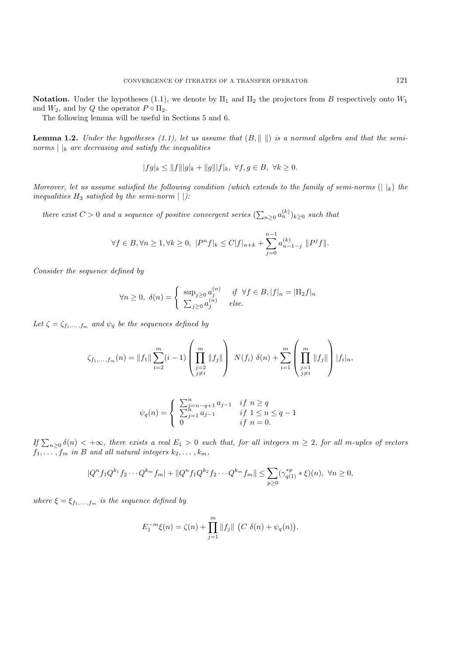**Notation.** Under the hypotheses (1.1), we denote by  $\Pi_1$  and  $\Pi_2$  the projectors from B respectively onto  $W_1$ and  $W_2$ , and by Q the operator  $P \circ \Pi_2$ .

The following lemma will be useful in Sections 5 and 6.

**Lemma 1.2.** *Under the hypotheses (1.1), let us assume that*  $(B, \| \|)$  *is a normed algebra and that the seminorms*  $\vert \vert_k$  *are decreasing and satisfy the inequalities* 

$$
|fg|_k \le ||f|| |g|_k + ||g|| |f|_k, \ \forall f, g \in B, \ \forall k \ge 0.
$$

*Moreover, let us assume satisfied the following condition (which extends to the family of semi-norms*  $(| \nvert_k)$  *the inequalities*  $H_3$  *satisfied by the semi-norm*  $|$   $|$ *):* 

*there exist*  $C > 0$  *and a sequence of positive convergent series*  $(\sum_{n\geq 0} a_n^{(k)})_{k\geq 0}$  *such that* 

$$
\forall f \in B, \forall n \ge 1, \forall k \ge 0, \ |P^n f|_k \le C |f|_{n+k} + \sum_{j=0}^{n-1} a_{n-1-j}^{(k)} \|P^j f\|.
$$

*Consider the sequence defined by*

$$
\forall n \ge 0, \ \delta(n) = \begin{cases} \sup_{j \ge 0} a_j^{(n)} & \text{if } \forall f \in B, |f|_n = |\Pi_2 f|_n \\ \sum_{j \ge 0} a_j^{(n)} & \text{else.} \end{cases}
$$

Let  $\zeta = \zeta_{f_1,\dots,f_m}$  *and*  $\psi_q$  *be the sequences defined by* 

$$
\zeta_{f_1,\ldots,f_m}(n) = \|f_1\| \sum_{i=2}^m (i-1) \left( \prod_{\substack{j=2 \ j \neq i}}^m \|f_j\| \right) N(f_i) \; \delta(n) + \sum_{i=1}^m \left( \prod_{\substack{j=1 \ j \neq i}}^m \|f_j\| \right) |f_i|_n,
$$

$$
\psi_q(n) = \left\{ \begin{array}{ll} \sum_{j=n-q+1}^n a_{j-1} & if \ n \geq q \\ \sum_{j=1}^n a_{j-1} & if \ 1 \leq n \leq q-1 \\ 0 & if \ n=0. \end{array} \right.
$$

 $If \sum_{n\geq 0} \delta(n) < +\infty$ , there exists a real  $E_1 > 0$  such that, for all integers  $m \geq 2$ , for all m-uples of vectors  $f_1,\ldots,f_m$  *in* B and all natural integers  $k_2,\ldots,k_m$ ,

$$
|Q^n f_1 Q^{k_1} f_2 \cdots Q^{k_m} f_m| + ||Q^n f_1 Q^{k_2} f_2 \cdots Q^{k_m} f_m|| \le \sum_{p \ge 0} (\gamma_{q(1)}^{*p} * \xi)(n), \ \forall n \ge 0,
$$

*where*  $\xi = \xi_{f_1,\ldots,f_m}$  *is the sequence defined by* 

$$
E_1^{-m}\xi(n) = \zeta(n) + \prod_{j=1}^m \|f_j\| \left( C \ \delta(n) + \psi_q(n) \right).
$$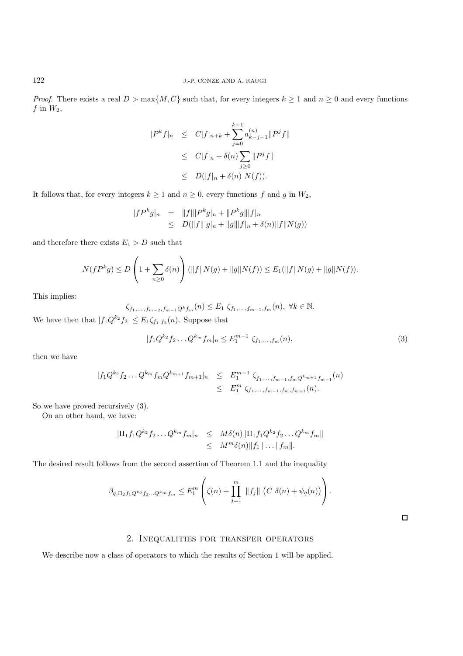*Proof.* There exists a real  $D > \max\{M, C\}$  such that, for every integers  $k \ge 1$  and  $n \ge 0$  and every functions  $f$  in  $W_2$ ,

$$
|P^k f|_n \le C|f|_{n+k} + \sum_{j=0}^{k-1} a_{k-j-1}^{(n)} \|P^j f\|
$$
  
\n
$$
\le C|f|_n + \delta(n) \sum_{j\ge 0} \|P^j f\|
$$
  
\n
$$
\le D(|f|_n + \delta(n) N(f)).
$$

It follows that, for every integers  $k\geq 1$  and  $n\geq 0,$  every functions  $f$  and  $g$  in  $W_2,$ 

$$
|fP^kg|_n = ||f|| |P^kg|_n + ||P^kg|| |f|_n
$$
  
\n
$$
\leq D(||f|| |g|_n + ||g|| |f|_n + \delta(n) ||f|| N(g))
$$

and therefore there exists  $E_1 > D$  such that

$$
N(fP^kg) \le D\left(1 + \sum_{n\ge 0} \delta(n)\right) (\|f\|N(g) + \|g\|N(f)) \le E_1(\|f\|N(g) + \|g\|N(f)).
$$

This implies:

$$
\zeta_{f_1,\ldots,f_{m-2},f_{m-1}Q^k f_m}(n) \le E_1 \zeta_{f_1,\ldots,f_{m-1},f_m}(n), \ \forall k \in \mathbb{N}.
$$

We have then that  $|f_1Q^{k_2}f_2| \leq E_1 \zeta_{f_1,f_2}(n)$ . Suppose that

$$
|f_1 Q^{k_2} f_2 \dots Q^{k_m} f_m|_n \le E_1^{m-1} \zeta_{f_1, \dots, f_m}(n), \tag{3}
$$

then we have

$$
|f_1 Q^{k_2} f_2 \dots Q^{k_m} f_m Q^{k_{m+1}} f_{m+1}|_n \le E_1^{m-1} \zeta_{f_1, \dots, f_{m-1}, f_m Q^{k_{m+1}} f_{m+1}}(n)
$$
  

$$
\le E_1^m \zeta_{f_1, \dots, f_{m-1}, f_m, f_{m+1}}(n).
$$

So we have proved recursively (3).

On an other hand, we have:

$$
|\Pi_1 f_1 Q^{k_2} f_2 \dots Q^{k_m} f_m|_n \leq M \delta(n) ||\Pi_1 f_1 Q^{k_2} f_2 \dots Q^{k_m} f_m||
$$
  

$$
\leq M^m \delta(n) ||f_1|| \dots ||f_m||.
$$

The desired result follows from the second assertion of Theorem 1.1 and the inequality

$$
\beta_{q,\Pi_2 f_1 Q^{k_2} f_2 ... Q^{k_m} f_m} \leq E_1^m \left( \zeta(n) + \prod_{j=1}^m \|f_j\| \left( C \delta(n) + \psi_q(n) \right) \right).
$$

 $\Box$ 

### 2. Inequalities for transfer operators

We describe now a class of operators to which the results of Section 1 will be applied.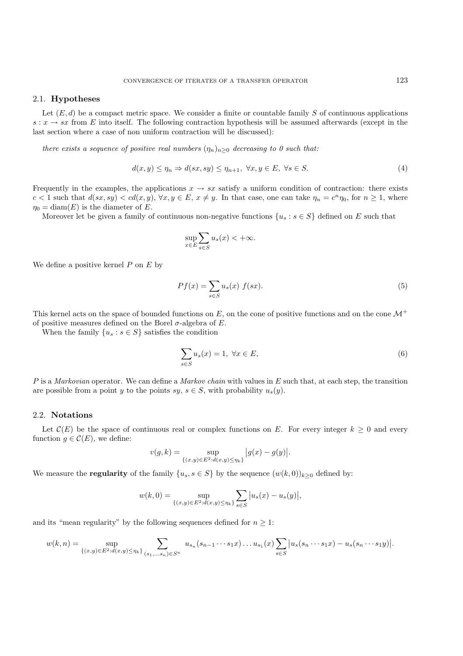#### 2.1. **Hypotheses**

Let  $(E, d)$  be a compact metric space. We consider a finite or countable family S of continuous applications  $s: x \to sx$  from E into itself. The following contraction hypothesis will be assumed afterwards (except in the last section where a case of non uniform contraction will be discussed):

*there exists a sequence of positive real numbers*  $(\eta_n)_{n\geq 0}$  *decreasing to 0 such that:* 

$$
d(x, y) \le \eta_n \Rightarrow d(sx, sy) \le \eta_{n+1}, \ \forall x, y \in E, \ \forall s \in S. \tag{4}
$$

Frequently in the examples, the applications  $x \to sx$  satisfy a uniform condition of contraction: there exists  $c < 1$  such that  $d(sx, sy) < cd(x, y)$ ,  $\forall x, y \in E$ ,  $x \neq y$ . In that case, one can take  $\eta_n = c^n \eta_0$ , for  $n \geq 1$ , where  $\eta_0 = \text{diam}(E)$  is the diameter of E.

Moreover let be given a family of continuous non-negative functions  $\{u_s : s \in S\}$  defined on E such that

$$
\sup_{x \in E} \sum_{s \in S} u_s(x) < +\infty.
$$

We define a positive kernel  $P$  on  $E$  by

$$
Pf(x) = \sum_{s \in S} u_s(x) f(sx). \tag{5}
$$

This kernel acts on the space of bounded functions on E, on the cone of positive functions and on the cone  $\mathcal{M}^+$ of positive measures defined on the Borel  $\sigma$ -algebra of E.

When the family  $\{u_s : s \in S\}$  satisfies the condition

$$
\sum_{s \in S} u_s(x) = 1, \ \forall x \in E,\tag{6}
$$

P is a *Markovian* operator. We can define a *Markov chain* with values in E such that, at each step, the transition are possible from a point y to the points sy,  $s \in S$ , with probability  $u_s(y)$ .

#### 2.2. **Notations**

Let  $\mathcal{C}(E)$  be the space of continuous real or complex functions on E. For every integer  $k \geq 0$  and every function  $g \in \mathcal{C}(E)$ , we define:

$$
v(g,k) = \sup_{\{(x,y)\in E^2 : d(x,y)\leq \eta_k\}} |g(x) - g(y)|.
$$

We measure the **regularity** of the family  $\{u_s, s \in S\}$  by the sequence  $(w(k, 0))_{k>0}$  defined by:

$$
w(k,0) = \sup_{\{(x,y)\in E^2:d(x,y)\leq\eta_k\}} \sum_{s\in S} |u_s(x) - u_s(y)|,
$$

and its "mean regularity" by the following sequences defined for  $n \geq 1$ :

$$
w(k,n) = \sup_{\{(x,y)\in E^2: d(x,y)\leq \eta_k\}} \sum_{(s_1,\ldots s_n)\in S^n} u_{s_n}(s_{n-1}\cdots s_1 x) \ldots u_{s_1}(x) \sum_{s\in S} |u_s(s_n\cdots s_1 x) - u_s(s_n\cdots s_1 y)|.
$$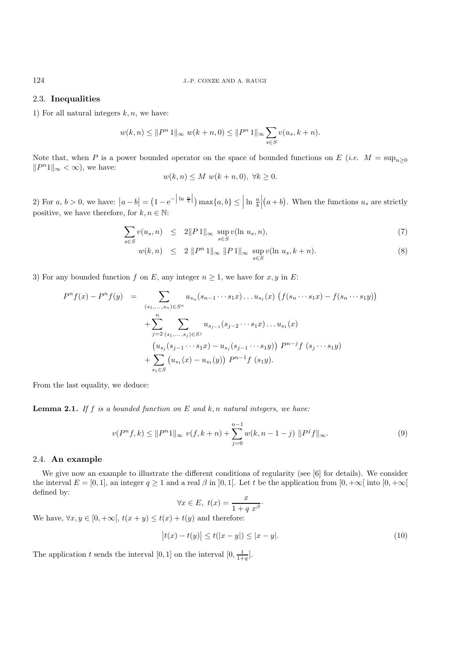#### 2.3. **Inequalities**

1) For all natural integers  $k, n$ , we have:

$$
w(k, n) \le ||P^n 1||_{\infty} w(k+n, 0) \le ||P^n 1||_{\infty} \sum_{s \in S} v(u_s, k+n).
$$

Note that, when P is a power bounded operator on the space of bounded functions on E (*i.e.*  $M = \sup_{n>0}$  $||P^n1||_{\infty} < \infty$ , we have:

$$
w(k, n) \le M \ w(k+n, 0), \ \forall k \ge 0.
$$

2) For  $a, b > 0$ , we have:  $|a-b| = (1 - e^{-\left|\ln \frac{a}{b}\right|}) \max\{a, b\} \leq \left|\ln \frac{a}{b}\right|$  $(a + b)$ . When the functions  $u_s$  are strictly positive, we have therefore, for  $k, n \in \mathbb{N}$ :

$$
\sum_{s \in S} v(u_s, n) \leq 2||P1||_{\infty} \sup_{s \in S} v(\ln u_s, n), \tag{7}
$$

$$
w(k,n) \leq 2 \|P^n 1\|_{\infty} \|P 1\|_{\infty} \sup_{s \in S} v(\ln u_s, k+n). \tag{8}
$$

3) For any bounded function f on E, any integer  $n \geq 1$ , we have for x, y in E:

$$
P^{n} f(x) - P^{n} f(y) = \sum_{(s_1, ..., s_n) \in S^n} u_{s_n}(s_{n-1} \cdots s_1 x) \dots u_{s_1}(x) \left( f(s_n \cdots s_1 x) - f(s_n \cdots s_1 y) \right)
$$
  
+ 
$$
\sum_{j=2}^{n} \sum_{(s_1, ..., s_j) \in S^j} u_{s_{j-1}}(s_{j-2} \cdots s_1 x) \dots u_{s_1}(x)
$$
  

$$
\left( u_{s_j}(s_{j-1} \cdots s_1 x) - u_{s_j}(s_{j-1} \cdots s_1 y) \right) P^{n-j} f(s_j \cdots s_1 y)
$$
  
+ 
$$
\sum_{s_1 \in S} \left( u_{s_1}(x) - u_{s_1}(y) \right) P^{n-1} f(s_1 y).
$$

From the last equality, we deduce:

**Lemma 2.1.** *If* f *is a bounded function on* E *and* k, n *natural integers, we have:*

$$
v(P^n f, k) \le ||P^n 1||_{\infty} v(f, k+n) + \sum_{j=0}^{n-1} w(k, n-1-j) ||P^j f||_{\infty}.
$$
\n(9)

### 2.4. **An example**

We give now an example to illustrate the different conditions of regularity (see [6] for details). We consider the interval  $E = [0, 1]$ , an integer  $q \ge 1$  and a real  $\beta$  in [0, 1[. Let t be the application from  $[0, +\infty]$  into  $[0, +\infty]$ defined by:

$$
\forall x \in E, \ t(x) = \frac{x}{1 + q x^{\beta}}.
$$

We have,  $\forall x, y \in [0, +\infty[, t(x+y) \leq t(x) + t(y)$  and therefore:

$$
|t(x) - t(y)| \le t(|x - y|) \le |x - y|.
$$
\n(10)

The application t sends the interval  $[0, 1]$  on the interval  $[0, \frac{1}{1+q}]$ .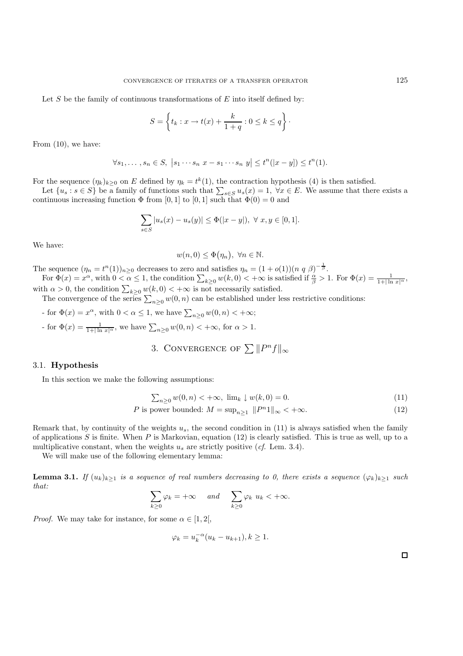Let  $S$  be the family of continuous transformations of  $E$  into itself defined by:

$$
S = \left\{ t_k : x \to t(x) + \frac{k}{1+q} : 0 \le k \le q \right\}.
$$

From (10), we have:

$$
\forall s_1, \ldots, s_n \in S, \ |s_1 \cdots s_n \ x - s_1 \cdots s_n \ y \leq t^n(|x - y|) \leq t^n(1).
$$

For the sequence  $(\eta_k)_{k\geq 0}$  on E defined by  $\eta_k = t^k(1)$ , the contraction hypothesis (4) is then satisfied.

Let  $\{u_s : s \in S\}$  be a family of functions such that  $\sum_{s \in S} u_s(x) = 1$ ,  $\forall x \in E$ . We assume that there exists a continuous increasing function  $\Phi$  from [0, 1] to [0, 1] such that  $\Phi(0) = 0$  and

$$
\sum_{s \in S} |u_s(x) - u_s(y)| \le \Phi(|x - y|), \ \forall \ x, y \in [0, 1].
$$

We have:

$$
w(n,0) \leq \Phi(\eta_n), \ \forall n \in \mathbb{N}.
$$

The sequence  $(\eta_n = t^n(1))_{n \geq 0}$  decreases to zero and satisfies  $\eta_n = (1 + o(1))(n \ q \ \beta)^{-\frac{1}{\beta}}$ .

For  $\Phi(x) = x^{\alpha}$ , with  $0 < \alpha \leq 1$ , the condition  $\sum_{k \geq 0} w(k, 0) < +\infty$  is satisfied if  $\frac{\alpha}{\beta} > 1$ . For  $\Phi(x) = \frac{1}{1 + |\ln x|^{\alpha}}$ , with  $\alpha > 0$ , the condition  $\sum_{k \geq 0} w(k, 0) < +\infty$  is not necessarily satisfied.

The convergence of the series  $\sum_{n\geq 0} w(0, n)$  can be established under less restrictive conditions:

- for  $\Phi(x) = x^{\alpha}$ , with  $0 < \alpha \le 1$ , we have  $\sum_{n \ge 0} w(0, n) < +\infty$ ;
- for  $\Phi(x) = \frac{1}{1+|\ln x|^{\alpha}}$ , we have  $\sum_{n\geq 0} w(0,n) < +\infty$ , for  $\alpha > 1$ .
	- 3. CONVERGENCE OF  $\sum ||P^n f||_{\infty}$

#### 3.1. **Hypothesis**

In this section we make the following assumptions:

$$
\sum_{n\geq 0} w(0, n) < +\infty, \ \lim_{k} \downarrow w(k, 0) = 0. \tag{11}
$$

$$
P \text{ is power bounded: } M = \sup_{n \ge 1} \|P^n 1\|_{\infty} < +\infty. \tag{12}
$$

Remark that, by continuity of the weights  $u_s$ , the second condition in (11) is always satisfied when the family of applications  $S$  is finite. When  $P$  is Markovian, equation (12) is clearly satisfied. This is true as well, up to a multiplicative constant, when the weights  $u_s$  are strictly positive (*cf.* Lem. 3.4).

We will make use of the following elementary lemma:

**Lemma 3.1.** *If*  $(u_k)_{k\geq 1}$  *is a sequence of real numbers decreasing to 0, there exists a sequence*  $(\varphi_k)_{k\geq 1}$  *such that:*

$$
\sum_{k\geq 0} \varphi_k = +\infty \quad \text{and} \quad \sum_{k\geq 0} \varphi_k \ u_k < +\infty.
$$

*Proof.* We may take for instance, for some  $\alpha \in [1, 2]$ ,

$$
\varphi_k = u_k^{-\alpha}(u_k - u_{k+1}), k \ge 1.
$$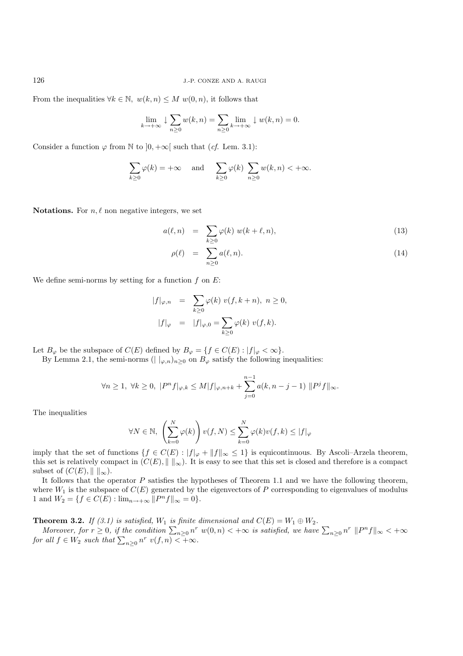From the inequalities  $\forall k \in \mathbb{N}, w(k,n) \leq M w(0,n)$ , it follows that

$$
\lim_{k \to +\infty} \downarrow \sum_{n \geq 0} w(k, n) = \sum_{n \geq 0} \lim_{k \to +\infty} \downarrow w(k, n) = 0.
$$

Consider a function  $\varphi$  from N to  $]0, +\infty[$  such that (*cf.* Lem. 3.1):

$$
\sum_{k\geq 0} \varphi(k) = +\infty \quad \text{and} \quad \sum_{k\geq 0} \varphi(k) \sum_{n\geq 0} w(k, n) < +\infty.
$$

**Notations.** For  $n, \ell$  non negative integers, we set

$$
a(\ell, n) = \sum_{k \ge 0} \varphi(k) w(k + \ell, n), \qquad (13)
$$

$$
\rho(\ell) = \sum_{n \ge 0} a(\ell, n). \tag{14}
$$

We define semi-norms by setting for a function  $f$  on  $E$ :

$$
|f|_{\varphi,n} = \sum_{k\geq 0} \varphi(k) \ v(f, k+n), \ n \geq 0,
$$
  

$$
|f|_{\varphi} = |f|_{\varphi,0} = \sum_{k\geq 0} \varphi(k) \ v(f, k).
$$

Let  $B_{\varphi}$  be the subspace of  $C(E)$  defined by  $B_{\varphi} = \{f \in C(E) : |f|_{\varphi} < \infty\}.$ 

By Lemma 2.1, the semi-norms ( $| \nvert_{\varphi,n}$ )<sub>n>0</sub> on  $B_{\varphi}$  satisfy the following inequalities:

$$
\forall n\geq 1, \ \forall k\geq 0, \ |P^n f|_{\varphi,k}\leq M |f|_{\varphi,n+k}+\sum_{j=0}^{n-1}a(k,n-j-1)\ \|P^jf\|_\infty.
$$

The inequalities

$$
\forall N \in \mathbb{N}, \ \left(\sum_{k=0}^{N} \varphi(k)\right) v(f, N) \leq \sum_{k=0}^{N} \varphi(k) v(f, k) \leq |f|_{\varphi}
$$

imply that the set of functions  $\{f \in C(E) : ||f||_{\varphi} + ||f||_{\infty} \leq 1\}$  is equicontinuous. By Ascoli–Arzela theorem, this set is relatively compact in  $(C(E), \| \|_{\infty})$ . It is easy to see that this set is closed and therefore is a compact subset of  $(C(E), || ||_{\infty}).$ 

It follows that the operator  $P$  satisfies the hypotheses of Theorem 1.1 and we have the following theorem, where  $W_1$  is the subspace of  $C(E)$  generated by the eigenvectors of P corresponding to eigenvalues of modulus 1 and  $W_2 = \{f \in C(E) : \lim_{n \to +\infty} ||P^n f||_{\infty} = 0\}.$ 

**Theorem 3.2.** *If (3.1) is satisfied,*  $W_1$  *is finite dimensional and*  $C(E) = W_1 \oplus W_2$ *.* 

*Moreover, for*  $r \geq 0$ , if the condition  $\sum_{n\geq 0} n^r w(0, n) < +\infty$  is satisfied, we have  $\sum_{n\geq 0} n^r ||P^n f||_{\infty} < +\infty$ *for all*  $f \in W_2$  *such that*  $\sum_{n\geq 0} n^r v(f, n) < +\infty$ *.*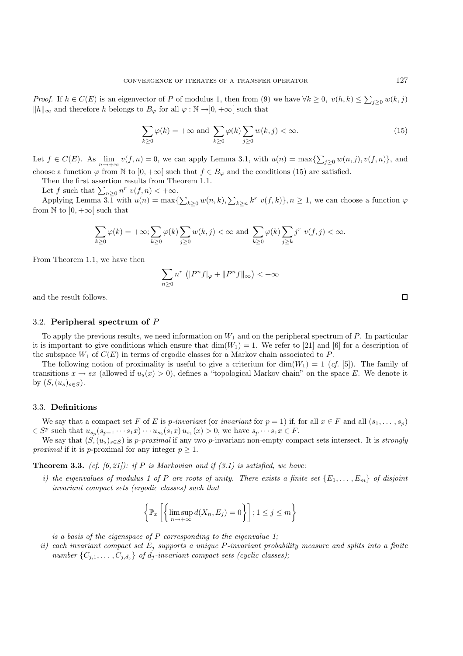*Proof.* If  $h \in C(E)$  is an eigenvector of P of modulus 1, then from (9) we have  $\forall k \geq 0$ ,  $v(h, k) \leq \sum_{j\geq 0} w(k, j)$  $||h||_{\infty}$  and therefore h belongs to  $B_{\varphi}$  for all  $\varphi : \mathbb{N} \to ]0, +\infty[$  such that

$$
\sum_{k\geq 0} \varphi(k) = +\infty \text{ and } \sum_{k\geq 0} \varphi(k) \sum_{j\geq 0} w(k, j) < \infty. \tag{15}
$$

Let  $f \in C(E)$ . As  $\lim_{n \to +\infty} v(f, n) = 0$ , we can apply Lemma 3.1, with  $u(n) = \max\{\sum_{j\geq 0} w(n, j), v(f, n)\}\)$ , and choose a function  $\varphi$  from N to  $]0, +\infty[$  such that  $f \in B_{\varphi}$  and the conditions (15) are satisfied.

Then the first assertion results from Theorem 1.1.

Let f such that  $\sum_{n\geq 0} n^r v(f, n) < +\infty$ .

Applying Lemma 3.1 with  $u(n) = \max\{\sum_{k\geq 0} w(n,k), \sum_{k\geq n} k^r v(f,k)\}, n \geq 1$ , we can choose a function  $\varphi$ from  $\mathbb N$  to  $]0, +\infty[$  such that

$$
\sum_{k\geq 0}\varphi(k)=+\infty;\sum_{k\geq 0}\varphi(k)\sum_{j\geq 0}w(k,j)<\infty\text{ and }\sum_{k\geq 0}\varphi(k)\sum_{j\geq k}j^{r}v(f,j)<\infty.
$$

From Theorem 1.1, we have then

$$
\sum_{n\geq 0} n^r \left( |P^n f|_{\varphi} + ||P^n f||_{\infty} \right) < +\infty
$$

and the result follows.

## 3.2. **Peripheral spectrum of** P

To apply the previous results, we need information on  $W_1$  and on the peripheral spectrum of  $P$ . In particular it is important to give conditions which ensure that  $\dim(W_1) = 1$ . We refer to [21] and [6] for a description of the subspace  $W_1$  of  $C(E)$  in terms of ergodic classes for a Markov chain associated to P.

The following notion of proximality is useful to give a criterium for  $\dim(W_1)=1$  (*cf.* [5]). The family of transitions  $x \to sx$  (allowed if  $u_s(x) > 0$ ), defines a "topological Markov chain" on the space E. We denote it by  $(S,(u_s)_{s\in S})$ .

#### 3.3. **Definitions**

We say that a compact set F of E is p-invariant (or *invariant* for  $p = 1$ ) if, for all  $x \in F$  and all  $(s_1, \ldots, s_n)$  $\in S^p$  such that  $u_{s_p}(s_{p-1}\cdots s_1x)\cdots u_{s_2}(s_1x)\,u_{s_1}(x) > 0$ , we have  $s_p\cdots s_1x \in F$ .

We say that  $(S,(u_s)_{s\in S})$  is *p-proximal* if any two *p*-invariant non-empty compact sets intersect. It is *strongly proximal* if it is p-proximal for any integer  $p \geq 1$ .

**Theorem 3.3.** *(cf. [6, 21]): if* P *is Markovian and if (3.1) is satisfied, we have:*

*i)* the eigenvalues of modulus 1 of P are roots of unity. There exists a finite set  $\{E_1,\ldots,E_m\}$  of disjoint *invariant compact sets (ergodic classes) such that*

$$
\left\{\mathbb{P}_x\left[\left\{\limsup_{n\to+\infty} d(X_n, E_j) = 0\right\}\right]; 1 \leq j \leq m\right\}
$$

*is a basis of the eigenspace of* P *corresponding to the eigenvalue 1;*

*ii) each invariant compact set* E<sup>j</sup> *supports a unique* P*-invariant probability measure and splits into a finite number*  $\{C_{j,1},\ldots,C_{j,d_i}\}$  *of d<sub>j</sub>*-invariant compact sets (cyclic classes);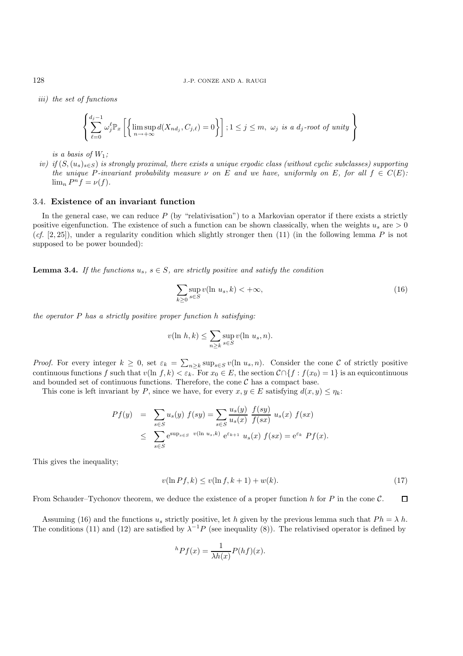*iii) the set of functions*

$$
\left\{\sum_{\ell=0}^{d_j-1} \omega_j^{\ell} \mathbb{P}_x \left[ \left\{\limsup_{n \to +\infty} d(X_{nd_j}, C_{j,\ell}) = 0 \right\} \right]; 1 \leq j \leq m, \ \omega_j \ \text{is a } d_j\text{-root of unity} \right\}
$$

*is a basis of*  $W_1$ ;

*iv) if* (S,(u<sub>s</sub>)<sub>s∈S</sub>) *is strongly proximal, there exists a unique ergodic class (without cyclic subclasses) supporting the unique* P-invariant probability measure  $\nu$  on E and we have, uniformly on E, for all  $f \in C(E)$ :  $\lim_{n} P^{n} f = \nu(f).$ 

#### 3.4. **Existence of an invariant function**

In the general case, we can reduce  $P$  (by "relativisation") to a Markovian operator if there exists a strictly positive eigenfunction. The existence of such a function can be shown classically, when the weights  $u_s$  are  $> 0$ (*cf.* [2, 25]), under a regularity condition which slightly stronger then (11) (in the following lemma P is not supposed to be power bounded):

**Lemma 3.4.** If the functions  $u_s$ ,  $s \in S$ , are strictly positive and satisfy the condition

$$
\sum_{k\geq 0} \sup_{s\in S} v(\ln u_s, k) < +\infty,\tag{16}
$$

*the operator* P *has a strictly positive proper function* h *satisfying:*

$$
v(\ln h, k) \le \sum_{n \ge k} \sup_{s \in S} v(\ln u_s, n).
$$

*Proof.* For every integer  $k \geq 0$ , set  $\varepsilon_k = \sum_{n \geq k} \sup_{s \in S} v(\ln u_s, n)$ . Consider the cone C of strictly positive continuous functions f such that  $v(\ln f, k) < \varepsilon_k$ . For  $x_0 \in E$ , the section  $C \cap \{f : f(x_0) = 1\}$  is an equicontinuous and bounded set of continuous functions. Therefore, the cone  $\mathcal C$  has a compact base.

This cone is left invariant by P, since we have, for every  $x, y \in E$  satisfying  $d(x, y) \leq \eta_k$ :

$$
Pf(y) = \sum_{s \in S} u_s(y) f(sy) = \sum_{s \in S} \frac{u_s(y)}{u_s(x)} \frac{f(sy)}{f(sx)} u_s(x) f(sx)
$$
  

$$
\leq \sum_{s \in S} e^{\sup_{s \in S} v(\ln u_s, k)} e^{\varepsilon_{k+1}} u_s(x) f(sx) = e^{\varepsilon_k} Pf(x).
$$

This gives the inequality;

$$
v(\ln Pf, k) \le v(\ln f, k+1) + w(k). \tag{17}
$$

 $\Box$ From Schauder–Tychonov theorem, we deduce the existence of a proper function h for P in the cone  $\mathcal{C}$ .

Assuming (16) and the functions  $u_s$  strictly positive, let h given by the previous lemma such that  $Ph = \lambda h$ . The conditions (11) and (12) are satisfied by  $\lambda^{-1}P$  (see inequality (8)). The relativised operator is defined by

$$
{}^{h}Pf(x) = \frac{1}{\lambda h(x)}P(hf)(x).
$$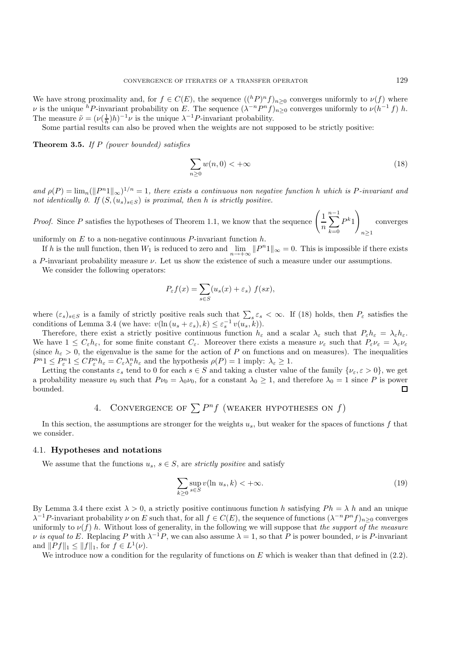We have strong proximality and, for  $f \in C(E)$ , the sequence  $((hP)^n f)_{n>0}$  converges uniformly to  $\nu(f)$  where v is the unique hP-invariant probability on E. The sequence  $(\lambda^{-n}P^n f)_{n\geq 0}$  converges uniformly to  $\nu(h^{-1}f)$  h. The measure  $\tilde{\nu} = (\nu(\frac{1}{h})h)^{-1}\nu$  is the unique  $\lambda^{-1}P$ -invariant probability.

Some partial results can also be proved when the weights are not supposed to be strictly positive:

**Theorem 3.5.** *If* P *(power bounded) satisfies*

$$
\sum_{n\geq 0} w(n,0) < +\infty \tag{18}
$$

and  $\rho(P) = \lim_{n} (||P^n1||_{\infty})^{1/n} = 1$ , there exists a continuous non negative function h which is P-invariant and *not identically 0. If*  $(S,(u_s)_{s\in S})$  *is proximal, then h is strictly positive.* 

*Proof.* Since P satisfies the hypotheses of Theorem 1.1, we know that the sequence  $\left( \frac{1}{n} \right)$ n  $\sum^{n-1}$  $k=0$  $P^{k_1}$  $n \geq 1$ converges

uniformly on  $E$  to a non-negative continuous  $P$ -invariant function  $h$ .

If h is the null function, then  $W_1$  is reduced to zero and  $\lim_{n\to+\infty} ||P^n1||_{\infty} = 0$ . This is impossible if there exists a P-invariant probability measure  $\nu$ . Let us show the existence of such a measure under our assumptions.

We consider the following operators:

$$
P_{\varepsilon}f(x) = \sum_{s \in S} (u_s(x) + \varepsilon_s) f(sx),
$$

where  $(\varepsilon_s)_{s\in S}$  is a family of strictly positive reals such that  $\sum_s \varepsilon_s < \infty$ . If (18) holds, then  $P_\varepsilon$  satisfies the conditions of Lemma 3.4 (we have:  $v(\ln(u_s + \varepsilon_s), k) \leq \varepsilon_s^{-1} v(u_s, k)).$ 

Therefore, there exist a strictly positive continuous function  $h_{\varepsilon}$  and a scalar  $\lambda_{\varepsilon}$  such that  $P_{\varepsilon}h_{\varepsilon} = \lambda_{\varepsilon}h_{\varepsilon}$ . We have  $1 \leq C_{\varepsilon} h_{\varepsilon}$ , for some finite constant  $C_{\varepsilon}$ . Moreover there exists a measure  $\nu_{\varepsilon}$  such that  $P_{\varepsilon} \nu_{\varepsilon} = \lambda_{\varepsilon} \nu_{\varepsilon}$ (since  $h_{\varepsilon} > 0$ , the eigenvalue is the same for the action of P on functions and on measures). The inequalities  $P^{n}1 \leq P_{\varepsilon}^{n}1 \leq CP_{\varepsilon}^{n}h_{\varepsilon} = C_{\varepsilon}\lambda_{\varepsilon}^{n}h_{\varepsilon}$  and the hypothesis  $\rho(P) = 1$  imply:  $\lambda_{\varepsilon} \geq 1$ .

Letting the constants  $\varepsilon_s$  tend to 0 for each  $s \in S$  and taking a cluster value of the family  $\{\nu_{\varepsilon}, \varepsilon > 0\}$ , we get a probability measure  $\nu_0$  such that  $P_{\nu_0} = \lambda_0 \nu_0$ , for a constant  $\lambda_0 \geq 1$ , and therefore  $\lambda_0 = 1$  since P is power bounded.  $\Box$ 

# 4. CONVERGENCE OF  $\sum P^n f$  (WEAKER HYPOTHESES ON f)

In this section, the assumptions are stronger for the weights  $u_s$ , but weaker for the spaces of functions f that we consider.

#### 4.1. **Hypotheses and notations**

We assume that the functions  $u_s, s \in S$ , are *strictly positive* and satisfy

$$
\sum_{k\geq 0} \sup_{s\in S} v(\ln u_s, k) < +\infty. \tag{19}
$$

By Lemma 3.4 there exist  $\lambda > 0$ , a strictly positive continuous function h satisfying  $Ph = \lambda h$  and an unique  $\lambda^{-1}P$ -invariant probability  $\nu$  on E such that, for all  $f \in C(E)$ , the sequence of functions  $(\lambda^{-n}P^n f)_{n>0}$  converges uniformly to  $\nu(f)$  h. Without loss of generality, in the following we will suppose that *the support of the measure v is equal to* E. Replacing P with  $\lambda^{-1}P$ , we can also assume  $\lambda = 1$ , so that P is power bounded,  $\nu$  is P-invariant and  $||Pf||_1 \leq ||f||_1$ , for  $f \in L^1(\nu)$ .

We introduce now a condition for the regularity of functions on  $E$  which is weaker than that defined in  $(2.2)$ .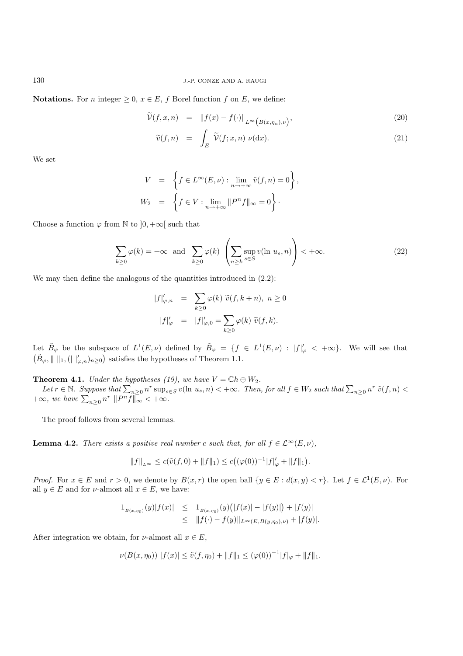**Notations.** For *n* integer  $\geq 0$ ,  $x \in E$ , *f* Borel function *f* on *E*, we define:

$$
\widetilde{\mathcal{V}}(f,x,n) = \|f(x) - f(\cdot)\|_{L^{\infty}\left(B(x,\eta_n),\nu\right)},\tag{20}
$$

$$
\widetilde{v}(f,n) = \int_{E} \widetilde{\mathcal{V}}(f;x,n) \, \nu(\mathrm{d}x). \tag{21}
$$

We set

$$
V = \left\{ f \in L^{\infty}(E, \nu) : \lim_{n \to +\infty} \tilde{v}(f, n) = 0 \right\},
$$
  

$$
W_2 = \left\{ f \in V : \lim_{n \to +\infty} ||P^n f||_{\infty} = 0 \right\}.
$$

Choose a function  $\varphi$  from N to  $]0, +\infty[$  such that

$$
\sum_{k\geq 0} \varphi(k) = +\infty \text{ and } \sum_{k\geq 0} \varphi(k) \left( \sum_{n\geq k} \sup_{s\in S} v(\ln u_s, n) \right) < +\infty.
$$
 (22)

.

We may then define the analogous of the quantities introduced in  $(2.2)$ :

$$
|f|'_{\varphi,n} = \sum_{k\geq 0} \varphi(k) \ \widetilde{v}(f, k+n), \ n \geq 0
$$
  

$$
|f|'_{\varphi} = |f|'_{\varphi,0} = \sum_{k\geq 0} \varphi(k) \ \widetilde{v}(f, k).
$$

Let  $\tilde{B}_{\varphi}$  be the subspace of  $L^1(E,\nu)$  defined by  $\tilde{B}_{\varphi} = \{f \in L^1(E,\nu) : |f|_{\varphi}' < +\infty\}$ . We will see that  $(\tilde{B}_{\varphi}, \|\ \|_1, (\|\|_{\varphi,n})_{n\geq 0})$  satisfies the hypotheses of Theorem 1.1.

**Theorem 4.1.** *Under the hypotheses (19), we have*  $V = \mathbb{C}h \oplus W_2$ *.* 

 $Let r \in \mathbb{N}$ . Suppose that  $\sum_{n\geq 0} n^r \sup_{s\in S} v(\ln u_s, n) < +\infty$ . Then, for all  $f \in W_2$  such that  $\sum_{n\geq 0} n^r \tilde{v}(f, n) <$  $+\infty$ *, we have*  $\sum_{n\geq 0} n^r ||P^n f||_{\infty} < +\infty$ *.* 

The proof follows from several lemmas.

**Lemma 4.2.** *There exists a positive real number* c *such that, for all*  $f \in \mathcal{L}^{\infty}(E, \nu)$ *,* 

$$
||f||_{L^{\infty}} \le c(\tilde{v}(f,0) + ||f||_1) \le c((\varphi(0))^{-1}|f|_{\varphi}' + ||f||_1)
$$

*Proof.* For  $x \in E$  and  $r > 0$ , we denote by  $B(x, r)$  the open ball  $\{y \in E : d(x, y) < r\}$ . Let  $f \in L^1(E, \nu)$ . For all  $y \in E$  and for *v*-almost all  $x \in E$ , we have:

$$
1_{B(x,\eta_0)}(y)|f(x)| \leq 1_{B(x,\eta_0)}(y)(|f(x)| - |f(y)|) + |f(y)|
$$
  
 
$$
\leq ||f(\cdot) - f(y)||_{L^{\infty}(E,B(y,\eta_0),\nu)} + |f(y)|.
$$

After integration we obtain, for  $\nu$ -almost all  $x \in E$ ,

$$
\nu(B(x,\eta_0)) |f(x)| \le \tilde{\nu}(f,\eta_0) + ||f||_1 \le (\varphi(0))^{-1} |f|_{\varphi} + ||f||_1.
$$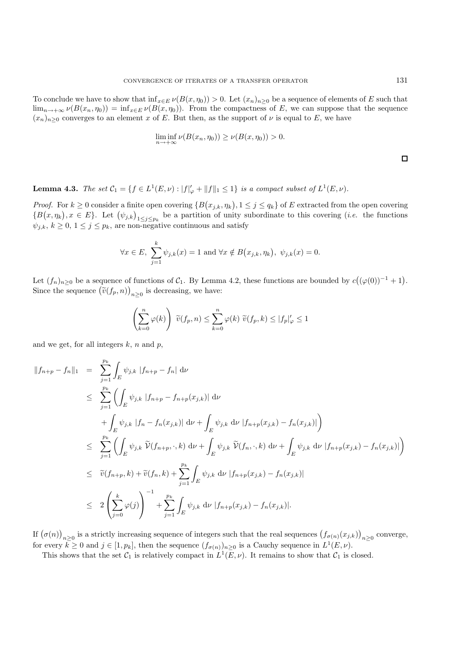To conclude we have to show that  $\inf_{x \in E} \nu(B(x, \eta_0)) > 0$ . Let  $(x_n)_{n>0}$  be a sequence of elements of E such that  $\lim_{n\to+\infty}\nu(B(x_n,\eta_0))=\inf_{x\in E}\nu(B(x,\eta_0)).$  From the compactness of E, we can suppose that the sequence  $(x_n)_{n>0}$  converges to an element x of E. But then, as the support of  $\nu$  is equal to E, we have

$$
\liminf_{n \to +\infty} \nu(B(x_n, \eta_0)) \ge \nu(B(x, \eta_0)) > 0.
$$

**Lemma 4.3.** *The set*  $C_1 = \{f \in L^1(E, \nu) : |f|_{\varphi} + ||f||_1 \leq 1\}$  *is a compact subset of*  $L^1(E, \nu)$ *.* 

*Proof.* For  $k \geq 0$  consider a finite open covering  $\{B(x_{j,k}, \eta_k), 1 \leq j \leq q_k\}$  of E extracted from the open covering  ${B(x, \eta_k), x \in E}$ . Let  ${(\psi_{j,k})}_{1 \leq j \leq p_k}$  be a partition of unity subordinate to this covering *(i.e.* the functions  $\psi_{j,k}, k \geq 0, 1 \leq j \leq p_k$ , are non-negative continuous and satisfy

$$
\forall x \in E, \sum_{j=1}^{k} \psi_{j,k}(x) = 1 \text{ and } \forall x \notin B(x_{j,k}, \eta_k), \ \psi_{j,k}(x) = 0.
$$

Let  $(f_n)_{n\geq 0}$  be a sequence of functions of  $C_1$ . By Lemma 4.2, these functions are bounded by  $c((\varphi(0))^{-1}+1)$ . Since the sequence  $(\tilde{v}(f_p, n))_{n \geq 0}$  is decreasing, we have:

$$
\left(\sum_{k=0}^{n} \varphi(k)\right) \ \widetilde{v}(f_p, n) \le \sum_{k=0}^{n} \varphi(k) \ \widetilde{v}(f_p, k) \le |f_p|_{\varphi}' \le 1
$$

and we get, for all integers  $k$ ,  $n$  and  $p$ ,

$$
\begin{split}\n\|f_{n+p} - f_n\|_1 &= \sum_{j=1}^{p_k} \int_E \psi_{j,k} \, |f_{n+p} - f_n| \, \mathrm{d}\nu \\
&\leq \sum_{j=1}^{p_k} \left( \int_E \psi_{j,k} \, |f_{n+p} - f_{n+p}(x_{j,k})| \, \mathrm{d}\nu \right. \\
&\quad \left. + \int_E \psi_{j,k} \, |f_n - f_n(x_{j,k})| \, \mathrm{d}\nu + \int_E \psi_{j,k} \, \mathrm{d}\nu \, |f_{n+p}(x_{j,k}) - f_n(x_{j,k})| \right) \\
&\leq \sum_{j=1}^{p_k} \left( \int_E \psi_{j,k} \, \widetilde{\mathcal{V}}(f_{n+p}, \cdot, k) \, \mathrm{d}\nu + \int_E \psi_{j,k} \, \widetilde{\mathcal{V}}(f_n, \cdot, k) \, \mathrm{d}\nu + \int_E \psi_{j,k} \, \mathrm{d}\nu \, |f_{n+p}(x_{j,k}) - f_n(x_{j,k})| \right) \\
&\leq \widetilde{v}(f_{n+p}, k) + \widetilde{v}(f_n, k) + \sum_{j=1}^{p_k} \int_E \psi_{j,k} \, \mathrm{d}\nu \, |f_{n+p}(x_{j,k}) - f_n(x_{j,k})| \\
&\leq 2 \left( \sum_{j=0}^k \varphi(j) \right)^{-1} + \sum_{j=1}^{p_k} \int_E \psi_{j,k} \, \mathrm{d}\nu \, |f_{n+p}(x_{j,k}) - f_n(x_{j,k})|.\n\end{split}
$$

If  $(\sigma(n))_{n\geq 0}$  is a strictly increasing sequence of integers such that the real sequences  $(f_{\sigma(n)}(x_{j,k}))_{n\geq 0}$  converge, for every  $k \ge 0$  and  $j \in [1, p_k]$ , then the sequence  $(f_{\sigma(n)})_{n \ge 0}$  is a Cauchy sequence in  $L^1(E, \nu)$ .

This shows that the set  $C_1$  is relatively compact in  $L^1(E,\nu)$ . It remains to show that  $C_1$  is closed.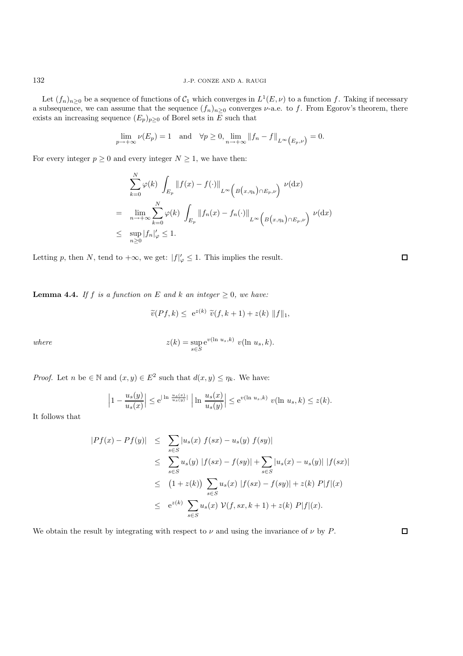Let  $(f_n)_{n\geq 0}$  be a sequence of functions of  $C_1$  which converges in  $L^1(E,\nu)$  to a function f. Taking if necessary a subsequence, we can assume that the sequence  $(f_n)_{n\geq 0}$  converges  $\nu$ -a.e. to f. From Egorov's theorem, there exists an increasing sequence  $(E_p)_{p\geq 0}$  of Borel sets in E such that

$$
\lim_{p \to +\infty} \nu(E_p) = 1 \quad \text{and} \quad \forall p \ge 0, \lim_{n \to +\infty} ||f_n - f||_{L^{\infty}(E_p, \nu)} = 0.
$$

For every integer  $p \geq 0$  and every integer  $N \geq 1$ , we have then:

$$
\sum_{k=0}^{N} \varphi(k) \int_{E_p} ||f(x) - f(\cdot)||_{L^{\infty}\left(B(x,\eta_k)\cap E_p,\nu\right)} \nu(\mathrm{d}x)
$$
\n
$$
= \lim_{n \to +\infty} \sum_{k=0}^{N} \varphi(k) \int_{E_p} ||f_n(x) - f_n(\cdot)||_{L^{\infty}\left(B(x,\eta_k)\cap E_p,\nu\right)} \nu(\mathrm{d}x)
$$
\n
$$
\leq \sup_{n \geq 0} |f_n|_{\varphi} \leq 1.
$$

Letting p, then N, tend to  $+\infty$ , we get:  $|f|'_{\varphi} \leq 1$ . This implies the result.

**Lemma 4.4.** *If*  $f$  *is a function on*  $E$  *and*  $k$  *an integer*  $\geq 0$ *, we have:* 

$$
\widetilde{v}(Pf,k) \leq e^{z(k)} \widetilde{v}(f,k+1) + z(k) \|f\|_1,
$$

 $where$ 

$$
z(k) = \sup_{s \in S} e^{v(\ln u_s, k)} v(\ln u_s, k)
$$

*Proof.* Let n be  $\in \mathbb{N}$  and  $(x, y) \in E^2$  such that  $d(x, y) \leq \eta_k$ . We have:

$$
\left|1 - \frac{u_s(y)}{u_s(x)}\right| \le e^{\left|\ln \frac{u_s(x)}{u_s(y)}\right|} \left|\ln \frac{u_s(x)}{u_s(y)}\right| \le e^{v(\ln u_s, k)} v(\ln u_s, k) \le z(k).
$$

It follows that

$$
|Pf(x) - Pf(y)| \leq \sum_{s \in S} |u_s(x) f(sx) - u_s(y) f(sy)|
$$
  
\n
$$
\leq \sum_{s \in S} u_s(y) |f(sx) - f(sy)| + \sum_{s \in S} |u_s(x) - u_s(y)| |f(sx)|
$$
  
\n
$$
\leq (1 + z(k)) \sum_{s \in S} u_s(x) |f(sx) - f(sy)| + z(k) P|f|(x)
$$
  
\n
$$
\leq e^{z(k)} \sum_{s \in S} u_s(x) \mathcal{V}(f, sx, k+1) + z(k) P|f|(x).
$$

We obtain the result by integrating with respect to  $\nu$  and using the invariance of  $\nu$  by P.

 $\Box$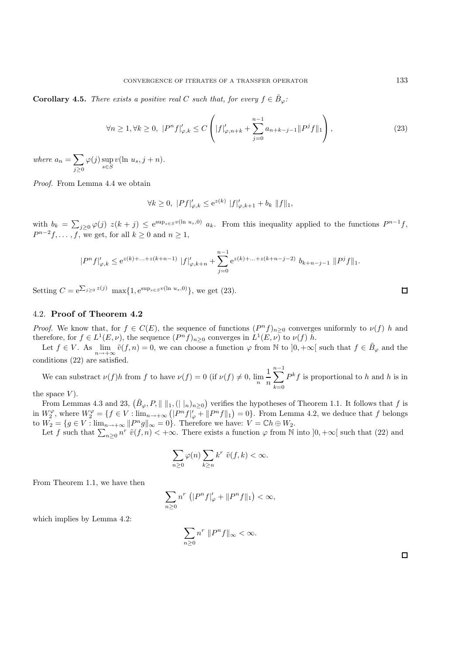**Corollary 4.5.** *There exists a positive real* C *such that, for every*  $f \in \tilde{B}_{\varphi}$ *:* 

$$
\forall n \ge 1, \forall k \ge 0, \ |P^n f|_{\varphi,k} \le C \left( |f|_{\varphi,n+k} + \sum_{j=0}^{n-1} a_{n+k-j-1} ||P^j f||_1 \right), \tag{23}
$$

*where*  $a_n = \sum$  $j \geq 0$  $\varphi(j) \sup_{s \in S} v(\ln u_s, j+n).$ 

*Proof.* From Lemma 4.4 we obtain

$$
\forall k \ge 0, \ |Pf|'_{\varphi,k} \le e^{z(k)} \|f\|'_{\varphi,k+1} + b_k \|f\|_1,
$$

with  $b_k = \sum_{j\geq 0} \varphi(j) z(k+j) \leq e^{\sup_{s\in S} v(\ln u_s,0)} a_k$ . From this inequality applied to the functions  $P^{n-1}f$ ,  $P^{n-2}f,\ldots,f,$  we get, for all  $k\geq 0$  and  $n\geq 1$ ,

$$
|P^n f|_{\varphi,k}' \le e^{z(k)+...+z(k+n-1)} |f|_{\varphi,k+n}' + \sum_{j=0}^{n-1} e^{z(k)+...+z(k+n-j-2)} b_{k+n-j-1} ||P^j f||_1.
$$

Setting  $C = e^{\sum_{j\geq 0} z(j)} \max\{1, e^{\sup_{s\in S} v(\ln u_s, 0)}\},$  we get (23).

## 4.2. **Proof of Theorem 4.2**

*Proof.* We know that, for  $f \in C(E)$ , the sequence of functions  $(P^n f)_{n>0}$  converges uniformly to  $\nu(f)$  h and therefore, for  $f \in L^1(E, \nu)$ , the sequence  $(P^n f)_{n>0}$  converges in  $L^1(E, \nu)$  to  $\nu(f)$  h.

Let  $f \in V$ . As  $\lim_{n\to+\infty} \tilde{v}(f,n) = 0$ , we can choose a function  $\varphi$  from N to  $]0, +\infty[$  such that  $f \in \tilde{B}_{\varphi}$  and the conditions (22) are satisfied.

We can substract  $\nu(f)h$  from f to have  $\nu(f) = 0$  (if  $\nu(f) \neq 0$ ,  $\lim_{n \to \infty} \frac{1}{n}$ n  $\sum^{n-1}$  $_{k=0}$  $P^k f$  is proportional to h and h is in

the space  $V$ ).

From Lemmas 4.3 and 23,  $(\tilde{B}_{\varphi}, P, \|\ \|_1, (\|\ \|_n)_{n\geq 0})$  verifies the hypotheses of Theorem 1.1. It follows that f is in  $W_2^{\varphi}$ , where  $W_2^{\varphi} = \{f \in V : \lim_{n \to +\infty} (|P^n f|_{\varphi}^{\varphi} + ||P^n f||_1) = 0\}$ . From Lemma 4.2, we deduce that f belongs to  $W_2 = \{g \in V : \lim_{n \to +\infty} ||P^n g||_{\infty} = 0\}.$  Therefore we have:  $V = \mathbb{C}h \oplus W_2$ .

Let f such that  $\sum_{n\geq 0} n^r \tilde{v}(f,n) < +\infty$ . There exists a function  $\varphi$  from N into  $]0, +\infty[$  such that (22) and

$$
\sum_{n\geq 0}\varphi(n)\sum_{k\geq n}k^r\,\,\tilde{v}(f,k)<\infty.
$$

From Theorem 1.1, we have then

$$
\sum_{n\geq 0} n^r \left( |P^n f|_{\varphi}^{\prime} + ||P^n f||_1 \right) < \infty,
$$

which implies by Lemma 4.2:

$$
\sum_{n\geq 0} n^r \|P^n f\|_{\infty} < \infty.
$$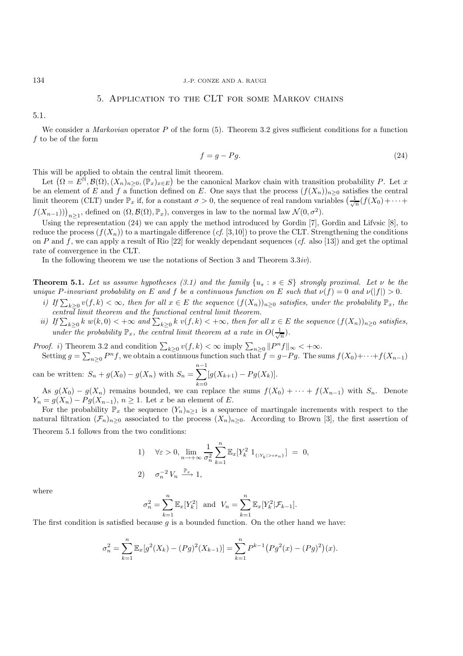#### 134 J.-P. CONZE AND A. RAUGI

## 5. Application to the CLT for some Markov chains

5.1.

We consider a *Markovian* operator P of the form (5). Theorem 3.2 gives sufficient conditions for a function f to be of the form

$$
f = g - Pg. \tag{24}
$$

This will be applied to obtain the central limit theorem.

Let  $(\Omega = E^{\mathbb{N}}, \mathcal{B}(\Omega), (X_n)_{n \geq 0}, (\mathbb{P}_x)_{x \in E})$  be the canonical Markov chain with transition probability P. Let x be an element of E and f a function defined on E. One says that the process  $(f(X_n))_{n\geq 0}$  satisfies the central limit theorem (CLT) under  $\mathbb{P}_x$  if, for a constant  $\sigma > 0$ , the sequence of real random variables  $\left(\frac{1}{\sqrt{n}}(f(X_0) + \cdots + f(X_n))^T\right)$  $f(X_{n-1}))\big|_{n\geq 1}$ , defined on  $(\Omega, \mathcal{B}(\Omega), \mathbb{P}_x)$ , converges in law to the normal law  $\mathcal{N}(0, \sigma^2)$ .

Using the representation (24) we can apply the method introduced by Gordin [7], Gordin and Lifvsic [8], to reduce the process  $(f(X_n))$  to a martingale difference  $(cf. [3,10])$  to prove the CLT. Strengthening the conditions on P and f, we can apply a result of Rio [22] for weakly dependant sequences (*cf.* also [13]) and get the optimal rate of convergence in the CLT.

In the following theorem we use the notations of Section 3 and Theorem 3.3*iv*).

**Theorem 5.1.** *Let us assume hypotheses (3.1) and the family*  $\{u_s : s \in S\}$  *strongly proximal. Let*  $\nu$  *be the unique* P-invariant probability on E and f be a continuous function on E such that  $\nu(f) = 0$  and  $\nu(|f|) > 0$ .

- *i)* If  $\sum_{k\geq 0} v(f, k) < \infty$ , then for all  $x \in E$  the sequence  $(f(X_n))_{n\geq 0}$  satisfies, under the probability  $\mathbb{P}_x$ , the *central limit theorem and the functional central limit theorem.*
- *ii)* If  $\sum_{k\geq 0} k w(k,0) < +\infty$  and  $\sum_{k\geq 0} k v(f,k) < +\infty$ , then for all  $x \in E$  the sequence  $(f(X_n))_{n\geq 0}$  satisfies, *under the probability*  $\mathbb{P}_x$ *, the central limit theorem at a rate in*  $O(\frac{1}{\sqrt{n}})$ *.*

*Proof. i*) Theorem 3.2 and condition  $\sum_{k\geq 0} v(f, k) < \infty$  imply  $\sum_{n\geq 0} ||P^n f||_{\infty} < +\infty$ . Setting  $g = \sum_{n\geq 0} P^n f$ , we obtain a continuous function such that  $f = g - Pg$ . The sums  $f(X_0) + \cdots + f(X_{n-1})$ 

can be written:  $S_n + g(X_0) - g(X_n)$  with  $S_n =$  $\sum^{n-1}$  $k=0$  $[g(X_{k+1}) - P g(X_k)].$ 

As  $g(X_0) - g(X_n)$  remains bounded, we can replace the sums  $f(X_0) + \cdots + f(X_{n-1})$  with  $S_n$ . Denote  $Y_n = g(X_n) - Pg(X_{n-1}), n \ge 1$ . Let x be an element of E.

For the probability  $\mathbb{P}_x$  the sequence  $(Y_n)_{n\geq 1}$  is a sequence of martingale increments with respect to the natural filtration  $(\mathcal{F}_n)_{n\geq 0}$  associated to the process  $(X_n)_{n\geq 0}$ . According to Brown [3], the first assertion of Theorem 5.1 follows from the two conditions:

1) 
$$
\forall \varepsilon > 0, \lim_{n \to +\infty} \frac{1}{\sigma_n^2} \sum_{k=1}^n \mathbb{E}_x[Y_k^2 \ 1_{\{|Y_k| > \varepsilon \sigma_n\}}] = 0,
$$
  
2) 
$$
\sigma_n^{-2} V_n \xrightarrow{\mathbb{P}_x} 1,
$$

where

$$
\sigma_n^2 = \sum_{k=1}^n \mathbb{E}_x[Y_k^2]
$$
 and  $V_n = \sum_{k=1}^n \mathbb{E}_x[Y_k^2 | \mathcal{F}_{k-1}].$ 

The first condition is satisfied because  $g$  is a bounded function. On the other hand we have:

$$
\sigma_n^2 = \sum_{k=1}^n \mathbb{E}_x[g^2(X_k) - (Pg)^2(X_{k-1})] = \sum_{k=1}^n P^{k-1} (Pg^2(x) - (Pg)^2)(x).
$$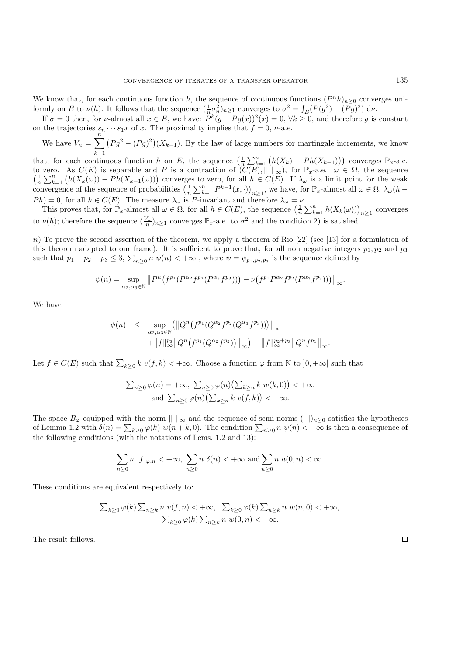We know that, for each continuous function h, the sequence of continuous functions  $(P^n h)_{n>0}$  converges uniformly on E to  $\nu(h)$ . It follows that the sequence  $(\frac{1}{n}\sigma_n^2)_{n\geq 1}$  converges to  $\sigma^2 = \int_E (P(g^2) - (Pg)^2) d\nu$ .

If  $\sigma = 0$  then, for v-almost all  $x \in E$ , we have:  $P^{k}(g - Pg(x))^{2}(x) = 0$ ,  $\forall k \geq 0$ , and therefore g is constant on the trajectories  $s_n \cdots s_1 x$  of x. The proximality implies that  $f = 0$ ,  $\nu$ -a.e.

We have  $V_n = \sum_{k=1}^{n} (P g^2 - (P g)^2)(X_{k-1})$ . By the law of large numbers for martingale increments, we know

that, for each continuous function h on E, the sequence  $\left(\frac{1}{n}\sum_{k=1}^{n}\left(h(X_k)-Ph(X_{k-1})\right)\right)$  converges  $\mathbb{P}_x$ -a.e. to zero. As  $C(E)$  is separable and P is a contraction of  $(C(E), || \t||_{\infty})$ , for  $\mathbb{P}_x$ -a.e.  $\omega \in \Omega$ , the sequence  $\left(\frac{1}{n}\sum_{k=1}^{n} (h(X_k(\omega)) - Ph(X_{k-1}(\omega)))\right)$  converges to zero, for all  $h \in C(E)$ . If  $\lambda_{\omega}$  is a limit point for the weak convergence of the sequence of probabilities  $\left(\frac{1}{n}\sum_{k=1}^{n}P^{k-1}(x,\cdot)\right)_{n\geq 1}$ , we have, for  $\mathbb{P}_x$ -almost all  $\omega \in \Omega$ ,  $\lambda_{\omega}(h Ph$ ) = 0, for all  $h \in C(E)$ . The measure  $\lambda_{\omega}$  is P-invariant and therefore  $\lambda_{\omega} = \nu$ .

This proves that, for  $\mathbb{P}_x$ -almost all  $\omega \in \Omega$ , for all  $h \in C(E)$ , the sequence  $\left(\frac{1}{n} \sum_{k=1}^n h(X_k(\omega))\right)_{n \geq 1}$  converges to  $\nu(h)$ ; therefore the sequence  $(\frac{V_n}{n})_{n\geq 1}$  converges  $\mathbb{P}_x$ -a.e. to  $\sigma^2$  and the condition 2) is satisfied.

ii) To prove the second assertion of the theorem, we apply a theorem of Rio [22] (see [13] for a formulation of this theorem adapted to our frame). It is sufficient to prove that, for all non negative integers  $p_1, p_2$  and  $p_3$ such that  $p_1 + p_2 + p_3 \leq 3$ ,  $\sum_{n \geq 0} n \psi(n) < +\infty$ , where  $\psi = \psi_{p_1, p_2, p_3}$  is the sequence defined by

$$
\psi(n) = \sup_{\alpha_2,\alpha_3 \in \mathbb{N}} \| P^n \big( f^{p_1} (P^{\alpha_2} f^{p_2} (P^{\alpha_3} f^{p_3})) \big) - \nu \big( f^{p_1} P^{\alpha_2} f^{p_2} (P^{\alpha_3} f^{p_3})) \big) \|_{\infty}.
$$

We have

$$
\psi(n) \leq \sup_{\alpha_2, \alpha_3 \in \mathbb{N}} (\left\| Q^n \left( f^{p_1} (Q^{\alpha_2} f^{p_2} (Q^{\alpha_3} f^{p_3})) \right) \right\|_{\infty} \n+ \left\| f \right\|_{\infty}^{p_3} \left\| Q^n \left( f^{p_1} (Q^{\alpha_2} f^{p_2}) \right) \right\|_{\infty}) + \left\| f \right\|_{\infty}^{p_2 + p_3} \left\| Q^n f^{p_1} \right\|_{\infty}.
$$

Let  $f \in C(E)$  such that  $\sum_{k\geq 0} k v(f, k) < +\infty$ . Choose a function  $\varphi$  from N to  $]0, +\infty[$  such that

$$
\sum_{n\geq 0} \varphi(n) = +\infty, \ \sum_{n\geq 0} \varphi(n) \big( \sum_{k\geq n} k \ w(k,0) \big) < +\infty
$$
  
and 
$$
\sum_{n\geq 0} \varphi(n) \big( \sum_{k\geq n} k \ v(f,k) \big) < +\infty.
$$

The space  $B_{\varphi}$  equipped with the norm  $|| \cdot ||_{\infty}$  and the sequence of semi-norms  $(|| \cdot ||_{n\geq 0}$  satisfies the hypotheses of Lemma 1.2 with  $\delta(n) = \sum_{k \geq 0} \varphi(k) w(n+k,0)$ . The condition  $\sum_{n \geq 0} n \psi(n) < +\infty$  is then a consequence of the following conditions (with the notations of Lems. 1.2 and 13):

$$
\sum_{n\geq 0} n |f|_{\varphi,n} < +\infty, \sum_{n\geq 0} n \delta(n) < +\infty \text{ and } \sum_{n\geq 0} n a(0,n) < \infty.
$$

These conditions are equivalent respectively to:

$$
\sum_{k\geq 0} \varphi(k) \sum_{n\geq k} n \ v(f, n) < +\infty, \quad \sum_{k\geq 0} \varphi(k) \sum_{n\geq k} n \ w(n, 0) < +\infty, \\
 \sum_{k\geq 0} \varphi(k) \sum_{n\geq k} n \ w(0, n) < +\infty.
$$

The result follows.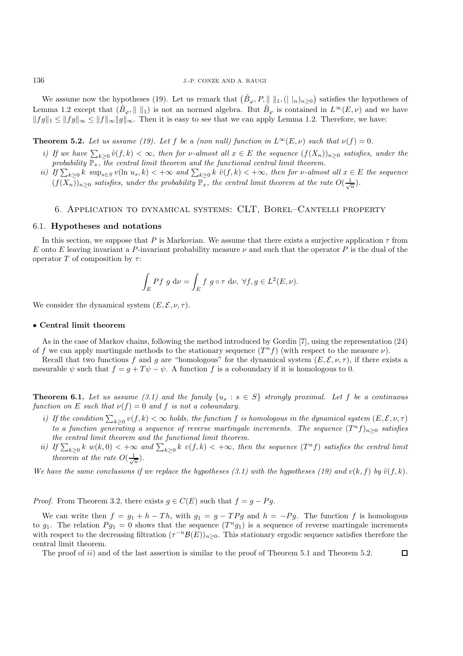We assume now the hypotheses (19). Let us remark that  $(\tilde{B}_{\varphi}, P, \|\ \|_1, (\|\ \|_n)_{n\geq 0})$  satisfies the hypotheses of Lemma 1.2 except that  $(\tilde{B}_{\varphi}, \| \|_1)$  is not an normed algebra. But  $\tilde{B}_{\varphi}$  is contained in  $L^{\infty}(E,\nu)$  and we have  $||fg||_1 \leq ||fg||_{\infty} \leq ||f||_{\infty}||g||_{\infty}$ . Then it is easy to see that we can apply Lemma 1.2. Therefore, we have:

**Theorem 5.2.** Let us assume (19). Let f be a (non null) function in  $L^{\infty}(E,\nu)$  such that  $\nu(f)=0$ .

- *i)* If we have  $\sum_{k\geq 0} \tilde{v}(f, k) < \infty$ , then for v-almost all  $x \in E$  the sequence  $(f(X_n))_{n\geq 0}$  satisfies, under the probability  $\mathbb{P}_x$ , the central limit theorem and the functional central limit theorem.
- *ii)* If  $\sum_{k\geq 0} k$  sup<sub>s∈S</sub> v(ln  $u_s, k$ ) < + $\infty$  and  $\sum_{k\geq 0} k$  ṽ(f, k) < + $\infty$ , then for v-almost all  $x \in E$  the sequence  $(f(X_n))_{n\geq 0}$  *satisfies, under the probability*  $\mathbb{P}_x$ *, the central limit theorem at the rate*  $O(\frac{1}{\sqrt{n}})$ *.*

#### 6. Application to dynamical systems: CLT, Borel–Cantelli property

#### 6.1. **Hypotheses and notations**

In this section, we suppose that P is Markovian. We assume that there exists a surjective application  $\tau$  from E onto E leaving invariant a P-invariant probability measure  $\nu$  and such that the operator P is the dual of the operator T of composition by  $\tau$ :

$$
\int_E Pf g d\nu = \int_E f g \circ \tau d\nu, \ \forall f, g \in L^2(E, \nu).
$$

We consider the dynamical system  $(E, \mathcal{E}, \nu, \tau)$ .

#### • **Central limit theorem**

As in the case of Markov chains, following the method introduced by Gordin [7], using the representation (24) of f we can apply martingale methods to the stationary sequence  $(T^n f)$  (with respect to the measure  $\nu$ ).

Recall that two functions f and g are "homologous" for the dynamical system  $(E, \mathcal{E}, \nu, \tau)$ , if there exists a mesurable  $\psi$  such that  $f = q + T\psi - \psi$ . A function f is a coboundary if it is homologous to 0.

**Theorem 6.1.** Let us assume (3.1) and the family  $\{u_s : s \in S\}$  strongly proximal. Let f be a continuous *function on* E *such that*  $\nu(f) = 0$  *and* f *is not a coboundary.* 

- *i)* If the condition  $\sum_{k\geq 0} v(f,k) < \infty$  holds, the function f is homologous in the dynamical system  $(E,\mathcal{E},\nu,\tau)$ *to a function generating a sequence of reverse martingale increments. The sequence*  $(T^n f)_{n\geq 0}$  *satisfies the central limit theorem and the functional limit theorem.*
- *ii)* If  $\sum_{k\geq 0} k w(k,0) < +\infty$  and  $\sum_{k\geq 0} k v(f,k) < +\infty$ , then the sequence  $(T^n f)$  satisfies the central limit *theorem at the rate*  $O(\frac{1}{\sqrt{n}})$ *.*

*We have the same conclusions if we replace the hypotheses (3.1) with the hypotheses (19) and*  $v(k, f)$  *by*  $\tilde{v}(f, k)$ .

*Proof.* From Theorem 3.2, there exists  $g \in C(E)$  such that  $f = g - Pg$ .

We can write then  $f = g_1 + h - Th$ , with  $g_1 = g - TPg$  and  $h = -Pg$ . The function f is homologous to  $g_1$ . The relation  $Pg_1 = 0$  shows that the sequence  $(T^n g_1)$  is a sequence of reverse martingale increments with respect to the decreasing filtration  $(\tau^{-n}\mathcal{B}(E))_{n>0}$ . This stationary ergodic sequence satisfies therefore the central limit theorem.

 $\Box$ 

The proof of  $ii)$  and of the last assertion is similar to the proof of Theorem 5.1 and Theorem 5.2.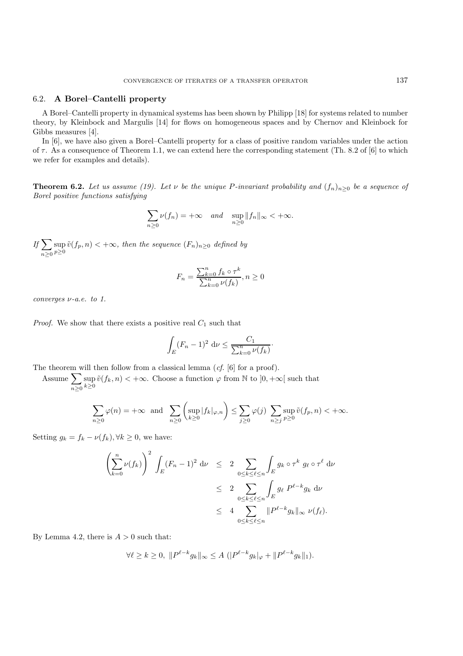#### 6.2. **A Borel–Cantelli property**

A Borel–Cantelli property in dynamical systems has been shown by Philipp [18] for systems related to number theory, by Kleinbock and Margulis [14] for flows on homogeneous spaces and by Chernov and Kleinbock for Gibbs measures [4].

In [6], we have also given a Borel–Cantelli property for a class of positive random variables under the action of  $\tau$ . As a consequence of Theorem 1.1, we can extend here the corresponding statement (Th. 8.2 of [6] to which we refer for examples and details).

**Theorem 6.2.** *Let us assume (19). Let*  $\nu$  *be the unique* P-invariant probability and  $(f_n)_{n>0}$  *be a sequence of Borel positive functions satisfying*

$$
\sum_{n\geq 0} \nu(f_n) = +\infty \quad and \quad \sup_{n\geq 0} ||f_n||_{\infty} < +\infty.
$$

 $If \sum$  $n \geq 0$  $\sup_{p\geq 0} \tilde{v}(f_p, n) < +\infty$ , then the sequence  $(F_n)_{n\geq 0}$  defined by

$$
F_n = \frac{\sum_{k=0}^n f_k \circ \tau^k}{\sum_{k=0}^n \nu(f_k)}, n \ge 0
$$

*converges* ν*-a.e. to 1.*

*Proof.* We show that there exists a positive real  $C_1$  such that

$$
\int_{E} (F_n - 1)^2 \, \mathrm{d}\nu \le \frac{C_1}{\sum_{k=0}^n \nu(f_k)}.
$$

The theorem will then follow from a classical lemma (*cf.* [6] for a proof).

Assume  $\sum$  $n\geq 0$ sup  $\sup_{k\geq 0} \tilde{v}(f_k, n) < +\infty$ . Choose a function  $\varphi$  from N to  $]0, +\infty[$  such that

$$
\sum_{n\geq 0} \varphi(n) = +\infty \text{ and } \sum_{n\geq 0} \left( \sup_{k\geq 0} |f_k|_{\varphi,n} \right) \leq \sum_{j\geq 0} \varphi(j) \sum_{n\geq j} \sup_{p\geq 0} \tilde{v}(f_p, n) < +\infty.
$$

Setting  $g_k = f_k - \nu(f_k), \forall k \geq 0$ , we have:

$$
\left(\sum_{k=0}^{n} \nu(f_k)\right)^2 \int_E (F_n - 1)^2 d\nu \le 2 \sum_{0 \le k \le \ell \le n} \int_E g_k \circ \tau^k g_\ell \circ \tau^\ell d\nu
$$
  
\n
$$
\le 2 \sum_{0 \le k \le \ell \le n} \int_E g_\ell P^{\ell - k} g_k d\nu
$$
  
\n
$$
\le 4 \sum_{0 \le k \le \ell \le n} \|P^{\ell - k} g_k\|_{\infty} \nu(f_\ell).
$$

By Lemma 4.2, there is  $A > 0$  such that:

$$
\forall \ell \geq k \geq 0, \ \| P^{\ell-k} g_k \|_{\infty} \leq A \ (|P^{\ell-k} g_k|_{\varphi} + \| P^{\ell-k} g_k \|_1).
$$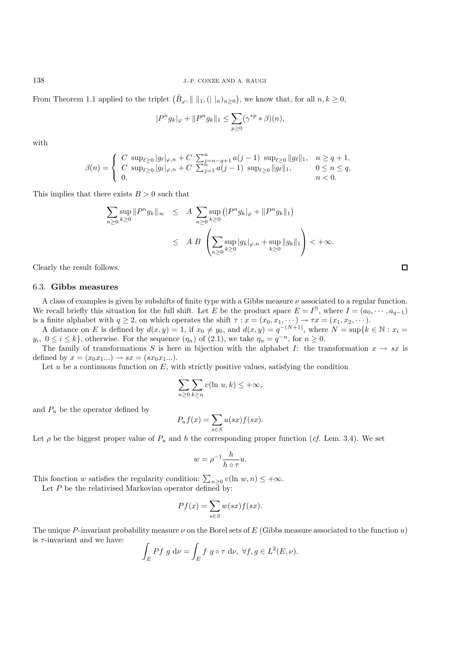138 J.-P. CONZE AND A. RAUGI

From Theorem 1.1 applied to the triplet  $(\tilde{B}_{\varphi}, || ||_1, (||u_n)_{n\geq 0})$ , we know that, for all  $n, k \geq 0$ ,

$$
|P^{n}g_{k}|_{\varphi} + ||P^{n}g_{k}||_{1} \leq \sum_{p\geq 0} (\gamma^{*p} * \beta)(n),
$$

with

$$
\beta(n) = \begin{cases} C \sup_{\ell \geq 0} |g_{\ell}|_{\varphi, n} + C \sum_{j=n-q+1}^{n} a(j-1) \sup_{\ell \geq 0} ||g_{\ell}||_1, & n \geq q+1, \\ C \sup_{\ell \geq 0} |g_{\ell}|_{\varphi, n} + C \sum_{j=1}^{n} a(j-1) \sup_{\ell \geq 0} ||g_{\ell}||_1, & 0 \leq n \leq q, \\ 0, & n < 0. \end{cases}
$$

This implies that there exists  $B > 0$  such that

$$
\sum_{n\geq 0} \sup_{k\geq 0} \|P^n g_k\|_{\infty} \leq A \sum_{n\geq 0} \sup_{k\geq 0} (|P^n g_k|_{\varphi} + \|P^n g_k\|_1)
$$
  

$$
\leq A B \left( \sum_{n\geq 0} \sup_{k\geq 0} |g_k|_{\varphi, n} + \sup_{k\geq 0} \|g_k\|_1 \right) < +\infty.
$$

Clearly the result follows.

#### 6.3. **Gibbs measures**

A class of examples is given by subshifts of finite type with a Gibbs measure  $\nu$  associated to a regular function. We recall briefly this situation for the full shift. Let E be the product space  $E = I^{\mathbb{N}}$ , where  $I = (a_0, \dots, a_{q-1})$ is a finite alphabet with  $q \ge 2$ , on which operates the shift  $\tau : x = (x_0, x_1, \dots) \to \tau x = (x_1, x_2, \dots)$ .

A distance on E is defined by  $d(x, y) = 1$ , if  $x_0 \neq y_0$ , and  $d(x, y) = q^{-(N+1)}$ , where  $N = \sup\{k \in \mathbb{N} : x_i = 1\}$  $y_i, 0 \le i \le k$ , otherwise. For the sequence  $(\eta_n)$  of (2.1), we take  $\eta_n = q^{-n}$ , for  $n \ge 0$ .

The family of transformations S is here in bijection with the alphabet I: the transformation  $x \to sx$  is defined by  $x = (x_0 x_1 ... ) \rightarrow sx = (sx_0 x_1 ... ).$ 

Let  $u$  be a continuous function on  $E$ , with strictly positive values, satisfying the condition

$$
\sum_{n\geq 0}\sum_{k\geq n}v(\ln u,k)\leq +\infty,
$$

and  $P_u$  be the operator defined by

$$
P_u f(x) = \sum_{s \in S} u(sx) f(sx).
$$

Let  $\rho$  be the biggest proper value of  $P_u$  and h the corresponding proper function (*cf.* Lem. 3.4). We set

$$
w = \rho^{-1} \frac{h}{h \circ \tau} u.
$$

This fonction w satisfies the regularity condition:  $\sum_{n\geq 0} v(\ln w, n) \leq +\infty$ .

Let  $P$  be the relativised Markovian operator defined by:

$$
Pf(x) = \sum_{s \in S} w(sx)f(sx).
$$

The unique P-invariant probability measure  $\nu$  on the Borel sets of E (Gibbs measure associated to the function u) is  $\tau$ -invariant and we have:

$$
\int_E Pf g d\nu = \int_E f g \circ \tau d\nu, \ \forall f, g \in L^2(E, \nu).
$$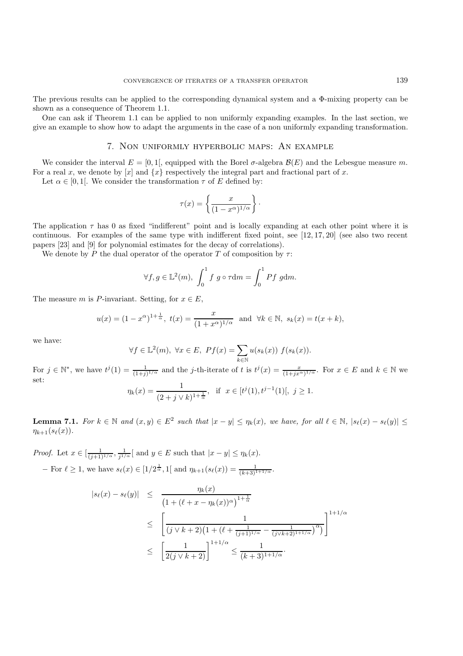The previous results can be applied to the corresponding dynamical system and a Φ-mixing property can be shown as a consequence of Theorem 1.1.

One can ask if Theorem 1.1 can be applied to non uniformly expanding examples. In the last section, we give an example to show how to adapt the arguments in the case of a non uniformly expanding transformation.

#### 7. Non uniformly hyperbolic maps: An example

We consider the interval  $E = [0, 1]$ , equipped with the Borel  $\sigma$ -algebra  $\mathcal{B}(E)$  and the Lebesgue measure m. For a real x, we denote by  $[x]$  and  $\{x\}$  respectively the integral part and fractional part of x.

Let  $\alpha \in [0,1]$ . We consider the transformation  $\tau$  of E defined by:

$$
\tau(x) = \left\{ \frac{x}{(1 - x^{\alpha})^{1/\alpha}} \right\}.
$$

The application  $\tau$  has 0 as fixed "indifferent" point and is locally expanding at each other point where it is continuous. For examples of the same type with indifferent fixed point, see [12, 17, 20] (see also two recent papers [23] and [9] for polynomial estimates for the decay of correlations).

We denote by P the dual operator of the operator T of composition by  $\tau$ :

$$
\forall f, g \in \mathbb{L}^{2}(m), \int_{0}^{1} f g \circ \tau dm = \int_{0}^{1} Pf g dm.
$$

The measure m is P-invariant. Setting, for  $x \in E$ ,

$$
u(x) = (1 - x^{\alpha})^{1 + \frac{1}{\alpha}}, t(x) = \frac{x}{(1 + x^{\alpha})^{1/\alpha}}
$$
 and  $\forall k \in \mathbb{N}, s_k(x) = t(x + k),$ 

we have:

$$
\forall f \in \mathbb{L}^2(m), \ \forall x \in E, \ Pf(x) = \sum_{k \in \mathbb{N}} u(s_k(x)) \ f(s_k(x)).
$$

For  $j \in \mathbb{N}^*$ , we have  $t^j(1) = \frac{1}{(1+j)^{1/\alpha}}$  and the j-th-iterate of t is  $t^j(x) = \frac{x}{(1+jx^{\alpha})^{1/\alpha}}$ . For  $x \in E$  and  $k \in \mathbb{N}$  we set:  $\eta_k(x) = \frac{1}{(2+j\vee k)^{1+\frac{1}{\alpha}}}, \text{ if } x \in [t^j(1), t^{j-1}(1)], j \ge 1.$ 

**Lemma 7.1.** *For*  $k \in \mathbb{N}$  *and*  $(x, y) \in E^2$  *such that*  $|x - y| \leq \eta_k(x)$ *, we have, for all*  $\ell \in \mathbb{N}$ *,*  $|s_{\ell}(x) - s_{\ell}(y)| \leq$  $\eta_{k+1}(s_{\ell}(x)).$ 

*Proof.* Let  $x \in \left[\frac{1}{(j+1)^{1/\alpha}}, \frac{1}{j^{1/\alpha}}\right]$  and  $y \in E$  such that  $|x-y| \leq \eta_k(x)$ .  $-$  For  $\ell \ge 1$ , we have  $s_{\ell}(x) \in [1/2^{\frac{1}{\alpha}}, 1[$  and  $\eta_{k+1}(s_{\ell}(x)) = \frac{1}{(k+3)^{1+1/\alpha}}$ .

$$
|s_{\ell}(x) - s_{\ell}(y)| \leq \frac{\eta_k(x)}{\left(1 + (\ell + x - \eta_k(x))^{\alpha}\right)^{1 + \frac{1}{\alpha}}}
$$
  

$$
\leq \left[\frac{1}{(j \vee k + 2)\left(1 + (\ell + \frac{1}{(j+1)^{1/\alpha}} - \frac{1}{(j \vee k + 2)^{1+1/\alpha}}\right)^{\alpha}\right]} \right]^{1 + 1/\alpha}
$$
  

$$
\leq \left[\frac{1}{2(j \vee k + 2)}\right]^{1 + 1/\alpha} \leq \frac{1}{(k+3)^{1+1/\alpha}}.
$$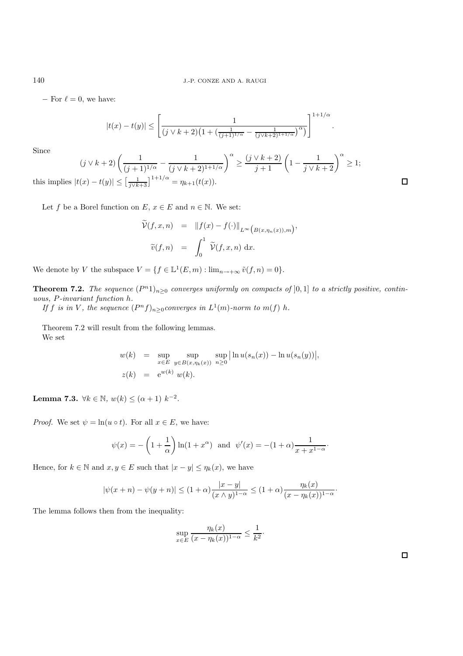$-$  For  $\ell = 0$ , we have:

$$
|t(x) - t(y)| \le \left[ \frac{1}{(j \vee k + 2) \left(1 + \left(\frac{1}{(j+1)^{1/\alpha}} - \frac{1}{(j \vee k + 2)^{1+1/\alpha}}\right)^{\alpha}\right)}\right]^{1+1/\alpha}
$$

.

Since

 $(j \vee k+2) \left( \frac{1}{(j+1)^{1/\alpha}} - \frac{1}{(j \vee k+2)^{1+1/\alpha}} \right)^{\alpha} \ge \frac{(j \vee k+2)}{j+1} \left( 1 - \frac{1}{j \vee k+2} \right)^{\alpha} \ge 1;$ 

this implies  $|t(x) - t(y)| \leq \left[\frac{1}{j\sqrt{k+3}}\right]^{1+1/\alpha} = \eta_{k+1}(t(x)).$ 

Let f be a Borel function on E,  $x \in E$  and  $n \in \mathbb{N}$ . We set:

$$
\widetilde{\nu}(f, x, n) = ||f(x) - f(\cdot)||_{L^{\infty}(B(x, \eta_n(x)), m)},
$$
  

$$
\widetilde{v}(f, n) = \int_0^1 \widetilde{\nu}(f, x, n) dx.
$$

We denote by V the subspace  $V = \{f \in \mathbb{L}^1(E, m) : \lim_{n \to +\infty} \tilde{v}(f, n) = 0\}.$ 

**Theorem 7.2.** *The sequence*  $(P^n1)_{n\geq 0}$  *converges uniformly on compacts of* [0, 1] *to a strictly positive, continuous,* P*-invariant function* h*.*

*If* f *is in* V, the sequence  $(P^n f)_{n>0}$ *converges in*  $L^1(m)$ *-norm to*  $m(f)$  *h*.

Theorem 7.2 will result from the following lemmas. We set

$$
w(k) = \sup_{x \in E} \sup_{y \in B(x, \eta_k(x))} \sup_{n \ge 0} |\ln u(s_n(x)) - \ln u(s_n(y))|,
$$
  

$$
z(k) = e^{w(k)} w(k).
$$

**Lemma 7.3.**  $\forall k \in \mathbb{N}, w(k) \leq (\alpha + 1) k^{-2}$ .

*Proof.* We set  $\psi = \ln(u \circ t)$ . For all  $x \in E$ , we have:

$$
\psi(x) = -\left(1 + \frac{1}{\alpha}\right) \ln(1 + x^{\alpha})
$$
 and  $\psi'(x) = -(1 + \alpha) \frac{1}{x + x^{1-\alpha}}$ .

Hence, for  $k \in \mathbb{N}$  and  $x, y \in E$  such that  $|x - y| \leq \eta_k(x)$ , we have

$$
|\psi(x+n) - \psi(y+n)| \le (1+\alpha) \frac{|x-y|}{(x \wedge y)^{1-\alpha}} \le (1+\alpha) \frac{\eta_k(x)}{(x-\eta_k(x))^{1-\alpha}}.
$$

The lemma follows then from the inequality:

$$
\sup_{x \in E} \frac{\eta_k(x)}{(x - \eta_k(x))^{1-\alpha}} \le \frac{1}{k^2}.
$$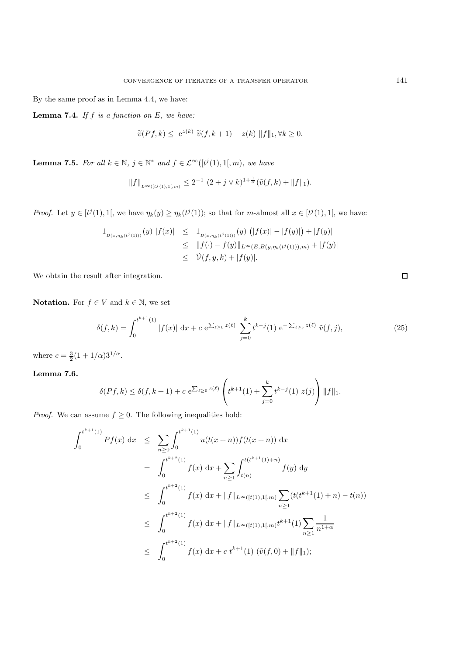By the same proof as in Lemma 4.4, we have:

**Lemma 7.4.** *If* f *is a function on* E*, we have:*

$$
\widetilde{v}(Pf,k) \leq e^{z(k)} \widetilde{v}(f,k+1) + z(k) \|f\|_1, \forall k \geq 0.
$$

**Lemma 7.5.** For all  $k \in \mathbb{N}$ ,  $j \in \mathbb{N}^*$  and  $f \in \mathcal{L}^{\infty}([t^j(1), 1], m)$ , we have

$$
||f||_{L^{\infty}([t^{j}(1),1[,m)} \leq 2^{-1} (2+j \vee k)^{1+\frac{1}{\alpha}} (\tilde{v}(f,k) + ||f||_1).
$$

*Proof.* Let  $y \in [t^j(1), 1]$ , we have  $\eta_k(y) \geq \eta_k(t^j(1))$ ; so that for m-almost all  $x \in [t^j(1), 1]$ , we have:

$$
1_{B(x,\eta_k(t^j(1)))}(y) |f(x)| \leq 1_{B(x,\eta_k(t^j(1)))}(y) (|f(x)| - |f(y)|) + |f(y)|
$$
  
\n
$$
\leq ||f(\cdot) - f(y)||_{L^{\infty}(E,B(y,\eta_k(t^j(1))),m)} + |f(y)|
$$
  
\n
$$
\leq \tilde{\nu}(f,y,k) + |f(y)|.
$$

We obtain the result after integration.

**Notation.** For  $f \in V$  and  $k \in \mathbb{N}$ , we set

$$
\delta(f,k) = \int_0^{t^{k+1}(1)} |f(x)| dx + c e^{\sum_{\ell \ge 0} z(\ell)} \sum_{j=0}^k t^{k-j}(1) e^{-\sum_{\ell \ge j} z(\ell)} \tilde{v}(f,j), \tag{25}
$$

where  $c = \frac{3}{2}(1 + 1/\alpha)3^{1/\alpha}$ .

**Lemma 7.6.**

$$
\delta(Pf,k) \le \delta(f,k+1) + c \ e^{\sum_{\ell \ge 0} z(\ell)} \left( t^{k+1}(1) + \sum_{j=0}^k t^{k-j}(1) \ z(j) \right) ||f||_1.
$$

*Proof.* We can assume  $f \geq 0$ . The following inequalities hold:

$$
\int_{0}^{t^{k+1}(1)} Pf(x) dx \leq \sum_{n\geq 0} \int_{0}^{t^{k+1}(1)} u(t(x+n)) f(t(x+n)) dx
$$
  
\n
$$
= \int_{0}^{t^{k+2}(1)} f(x) dx + \sum_{n\geq 1} \int_{t(n)}^{t(t^{k+1}(1)+n)} f(y) dy
$$
  
\n
$$
\leq \int_{0}^{t^{k+2}(1)} f(x) dx + ||f||_{L^{\infty}([t(1),1[,m)} \sum_{n\geq 1} (t(t^{k+1}(1)+n) - t(n))
$$
  
\n
$$
\leq \int_{0}^{t^{k+2}(1)} f(x) dx + ||f||_{L^{\infty}([t(1),1[,m)} t^{k+1}(1) \sum_{n\geq 1} \frac{1}{n^{1+\alpha}}
$$
  
\n
$$
\leq \int_{0}^{t^{k+2}(1)} f(x) dx + c t^{k+1}(1) (\tilde{v}(f,0) + ||f||_{1});
$$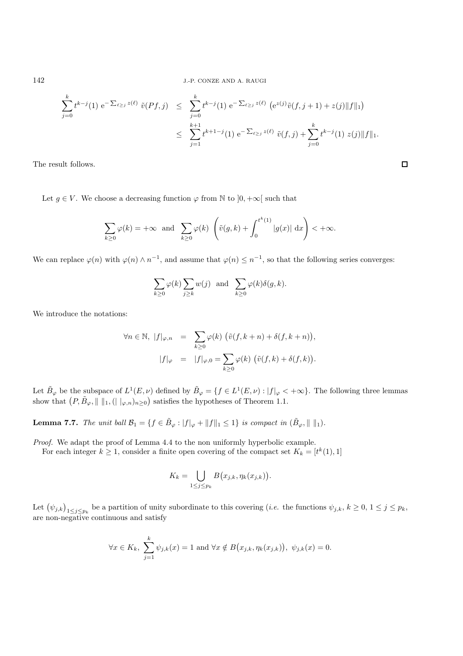142 J.-P. CONZE AND A. RAUGI

$$
\sum_{j=0}^{k} t^{k-j}(1) e^{-\sum_{\ell \ge j} z(\ell)} \tilde{v}(Pf, j) \le \sum_{j=0}^{k} t^{k-j}(1) e^{-\sum_{\ell \ge j} z(\ell)} (e^{z(j)} \tilde{v}(f, j+1) + z(j) ||f||_1)
$$
  

$$
\le \sum_{j=1}^{k+1} t^{k+1-j}(1) e^{-\sum_{\ell \ge j} z(\ell)} \tilde{v}(f, j) + \sum_{j=0}^{k} t^{k-j}(1) z(j) ||f||_1.
$$

 $\Box$ 

The result follows.

Let  $g \in V$ . We choose a decreasing function  $\varphi$  from N to  $]0, +\infty[$  such that

$$
\sum_{k\geq 0} \varphi(k) = +\infty \text{ and } \sum_{k\geq 0} \varphi(k) \left( \tilde{v}(g,k) + \int_0^{t^k(1)} |g(x)| dx \right) < +\infty.
$$

We can replace  $\varphi(n)$  with  $\varphi(n) \wedge n^{-1}$ , and assume that  $\varphi(n) \leq n^{-1}$ , so that the following series converges:

$$
\sum_{k\geq 0}\varphi(k)\sum_{j\geq k}w(j)\ \ \text{ and }\ \ \sum_{k\geq 0}\varphi(k)\delta(g,k).
$$

We introduce the notations:

$$
\forall n \in \mathbb{N}, \ |f|_{\varphi, n} = \sum_{k \ge 0} \varphi(k) \left( \tilde{v}(f, k+n) + \delta(f, k+n) \right),
$$

$$
|f|_{\varphi} = |f|_{\varphi, 0} = \sum_{k \ge 0} \varphi(k) \left( \tilde{v}(f, k) + \delta(f, k) \right).
$$

Let  $\tilde{B}_{\varphi}$  be the subspace of  $L^{1}(E,\nu)$  defined by  $\tilde{B}_{\varphi} = \{f \in L^{1}(E,\nu) : |f|_{\varphi} < +\infty\}$ . The following three lemmas show that  $(P, \tilde{B}_{\varphi}, \| \|_1, (||\cdot_{\varphi,n})_{n\geq 0})$  satisfies the hypotheses of Theorem 1.1.

**Lemma 7.7.** *The unit ball*  $\mathcal{B}_1 = \{f \in \tilde{B}_{\varphi} : |f|_{\varphi} + ||f||_1 \leq 1\}$  *is compact in*  $(\tilde{B}_{\varphi}, ||||_1)$ *.* 

*Proof.* We adapt the proof of Lemma 4.4 to the non uniformly hyperbolic example.

For each integer  $k \geq 1$ , consider a finite open covering of the compact set  $K_k = [t^k(1), 1]$ 

$$
K_k = \bigcup_{1 \le j \le p_k} B(x_{j,k}, \eta_k(x_{j,k})).
$$

Let  $(\psi_{j,k})_{1 \leq j \leq p_k}$  be a partition of unity subordinate to this covering (*i.e.* the functions  $\psi_{j,k}, k \geq 0, 1 \leq j \leq p_k$ , are non-negative continuous and satisfy

$$
\forall x \in K_k
$$
,  $\sum_{j=1}^k \psi_{j,k}(x) = 1$  and  $\forall x \notin B(x_{j,k}, \eta_k(x_{j,k}))$ ,  $\psi_{j,k}(x) = 0$ .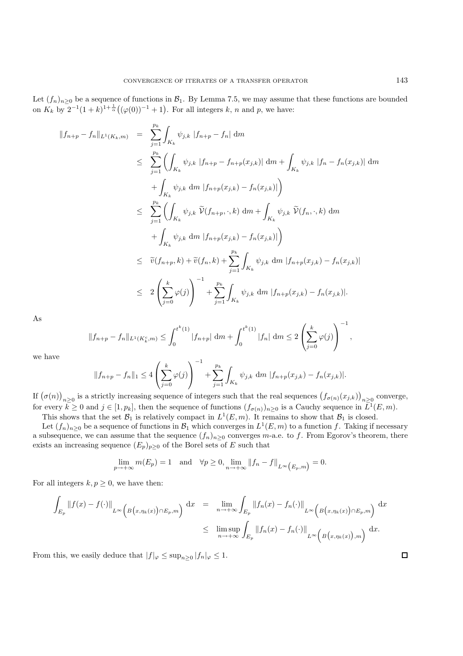Let  $(f_n)_{n>0}$  be a sequence of functions in  $\mathcal{B}_1$ . By Lemma 7.5, we may assume that these functions are bounded on  $K_k$  by  $2^{-1}(1+k)^{1+\frac{1}{\alpha}}((\varphi(0))^{-1}+1)$ . For all integers k, n and p, we have:

$$
\|f_{n+p} - f_n\|_{L^1(K_k,m)} = \sum_{j=1}^{p_k} \int_{K_k} \psi_{j,k} |f_{n+p} - f_n| dm
$$
  
\n
$$
\leq \sum_{j=1}^{p_k} \left( \int_{K_k} \psi_{j,k} |f_{n+p} - f_{n+p}(x_{j,k})| dm + \int_{K_k} \psi_{j,k} |f_n - f_n(x_{j,k})| dm \right)
$$
  
\n
$$
+ \int_{K_k} \psi_{j,k} dm |f_{n+p}(x_{j,k}) - f_n(x_{j,k})| \right)
$$
  
\n
$$
\leq \sum_{j=1}^{p_k} \left( \int_{K_k} \psi_{j,k} \widetilde{\nu}(f_{n+p}, \cdot, k) dm + \int_{K_k} \psi_{j,k} \widetilde{\nu}(f_n, \cdot, k) dm \right)
$$
  
\n
$$
+ \int_{K_k} \psi_{j,k} dm |f_{n+p}(x_{j,k}) - f_n(x_{j,k})| \right)
$$
  
\n
$$
\leq \widetilde{v}(f_{n+p}, k) + \widetilde{v}(f_n, k) + \sum_{j=1}^{p_k} \int_{K_k} \psi_{j,k} dm |f_{n+p}(x_{j,k}) - f_n(x_{j,k})|
$$
  
\n
$$
\leq 2 \left( \sum_{j=0}^k \varphi(j) \right)^{-1} + \sum_{j=1}^{p_k} \int_{K_k} \psi_{j,k} dm |f_{n+p}(x_{j,k}) - f_n(x_{j,k})|.
$$

As

$$
||f_{n+p} - f_n||_{L^1(K_k^c, m)} \le \int_0^{t^k(1)} |f_{n+p}| dm + \int_0^{t^k(1)} |f_n| dm \le 2 \left(\sum_{j=0}^k \varphi(j)\right)^{-1},
$$

we have

$$
||f_{n+p} - f_n||_1 \le 4\left(\sum_{j=0}^k \varphi(j)\right)^{-1} + \sum_{j=1}^{p_k} \int_{K_k} \psi_{j,k} dm |f_{n+p}(x_{j,k}) - f_n(x_{j,k})|.
$$

If  $(\sigma(n))_{n\geq 0}$  is a strictly increasing sequence of integers such that the real sequences  $(f_{\sigma(n)}(x_{j,k}))_{n\geq 0}$  converge, for every  $k \ge 0$  and  $j \in [1, p_k]$ , then the sequence of functions  $(f_{\sigma(n)})_{n \ge 0}$  is a Cauchy sequence in  $\overline{L}^1(E, m)$ .

This shows that the set  $\mathcal{B}_1$  is relatively compact in  $L^1(E,m)$ . It remains to show that  $\mathcal{B}_1$  is closed.

Let  $(f_n)_{n\geq 0}$  be a sequence of functions in  $\mathcal{B}_1$  which converges in  $L^1(E,m)$  to a function f. Taking if necessary a subsequence, we can assume that the sequence  $(f_n)_{n\geq 0}$  converges m-a.e. to f. From Egorov's theorem, there exists an increasing sequence  $(E_p)_{p\geq 0}$  of the Borel sets of E such that

$$
\lim_{p \to +\infty} m(E_p) = 1 \quad \text{and} \quad \forall p \ge 0, \lim_{n \to +\infty} ||f_n - f||_{L^{\infty}(E_p, m)} = 0.
$$

For all integers  $k, p \geq 0$ , we have then:

$$
\int_{E_p} ||f(x) - f(\cdot)||_{L^{\infty}\left(B(x, \eta_k(x))\cap E_p, m\right)} dx = \lim_{n \to +\infty} \int_{E_p} ||f_n(x) - f_n(\cdot)||_{L^{\infty}\left(B(x, \eta_k(x))\cap E_p, m\right)} dx
$$
\n
$$
\leq \limsup_{n \to +\infty} \int_{E_p} ||f_n(x) - f_n(\cdot)||_{L^{\infty}\left(B(x, \eta_k(x))\right), m\right)} dx.
$$

From this, we easily deduce that  $|f|_{\varphi} \leq \sup_{n\geq 0} |f_n|_{\varphi} \leq 1$ .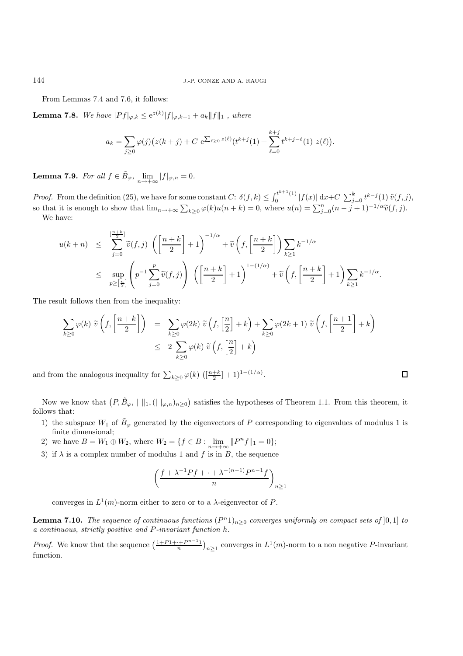From Lemmas 7.4 and 7.6, it follows:

**Lemma 7.8.** *We have*  $|Pf|_{\varphi,k} \leq e^{z(k)}|f|_{\varphi,k+1} + a_k||f||_1$  *, where* 

$$
a_k = \sum_{j\geq 0} \varphi(j) \big( z(k+j) + C \, e^{\sum_{\ell \geq 0} z(\ell)} (t^{k+j}(1) + \sum_{\ell=0}^{k+j} t^{k+j-\ell}(1) \, z(\ell) \big).
$$

**Lemma 7.9.** *For all*  $f \in \tilde{B}_{\varphi}$ ,  $\lim_{n \to +\infty} |f|_{\varphi,n} = 0$ .

*Proof.* From the definition (25), we have for some constant  $C: \delta(f,k) \leq \int_0^{t^{k+1}(1)} |f(x)| dx + C \sum_{j=0}^k t^{k-j}(1) \tilde{v}(f,j)$ , so that it is enough to show that  $\lim_{n\to+\infty}\sum_{k\geq 0} \varphi(k)u(n+k) = 0$ , where  $u(n) = \sum_{j=0}^{n} (n-j+1)^{-1/\alpha} \tilde{v}(f, j)$ . We have:

$$
u(k+n) \leq \sum_{j=0}^{\left[\frac{n+k}{2}\right]} \widetilde{v}(f,j) \left(\left[\frac{n+k}{2}\right]+1\right)^{-1/\alpha} + \widetilde{v}\left(f,\left[\frac{n+k}{2}\right]\right) \sum_{k\geq 1} k^{-1/\alpha}
$$
  

$$
\leq \sup_{p\geq \left[\frac{n}{2}\right]} \left(p^{-1} \sum_{j=0}^{p} \widetilde{v}(f,j)\right) \left(\left[\frac{n+k}{2}\right]+1\right)^{1-(1/\alpha)} + \widetilde{v}\left(f,\left[\frac{n+k}{2}\right]+1\right) \sum_{k\geq 1} k^{-1/\alpha}.
$$

The result follows then from the inequality:

$$
\sum_{k\geq 0} \varphi(k) \ \widetilde{v}\left(f, \left[\frac{n+k}{2}\right]\right) = \sum_{k\geq 0} \varphi(2k) \ \widetilde{v}\left(f, \left[\frac{n}{2}\right] + k\right) + \sum_{k\geq 0} \varphi(2k+1) \ \widetilde{v}\left(f, \left[\frac{n+1}{2}\right] + k\right) \leq 2 \sum_{k\geq 0} \varphi(k) \ \widetilde{v}\left(f, \left[\frac{n}{2}\right] + k\right)
$$

and from the analogous inequality for  $\sum_{k\geq 0} \varphi(k) \left( \left[ \frac{n+k}{2} \right] + 1 \right)^{1-(1/\alpha)}$ .

Now we know that  $(P, \tilde{B}_{\varphi}, \| \|_{1}, ( \| \varphi_n)_{n \geq 0})$  satisfies the hypotheses of Theorem 1.1. From this theorem, it follows that:

 $\Box$ 

- 1) the subspace  $W_1$  of  $\tilde{B}_{\varphi}$  generated by the eigenvectors of P corresponding to eigenvalues of modulus 1 is finite dimensional;
- 2) we have  $B = W_1 \oplus W_2$ , where  $W_2 = \{f \in B : \lim_{n \to +\infty} ||P^n f||_1 = 0\};$
- 3) if  $\lambda$  is a complex number of modulus 1 and f is in B, the sequence

$$
\left(\frac{f+\lambda^{-1}Pf+\cdots+\lambda^{-(n-1)}P^{n-1}f}{n}\right)_{n\geq 1}
$$

converges in  $L^1(m)$ -norm either to zero or to a  $\lambda$ -eigenvector of P.

**Lemma 7.10.** *The sequence of continuous functions*  $(P<sup>n</sup>1)<sub>n>0</sub>$  *converges uniformly on compact sets of* [0,1] *to a continuous, strictly positive and* P*-invariant function* h*.*

*Proof.* We know that the sequence  $\left(\frac{1+P1+\cdots+P^{n-1}}{n}\right)_{n\geq 1}$  converges in  $L^1(m)$ -norm to a non negative P-invariant function.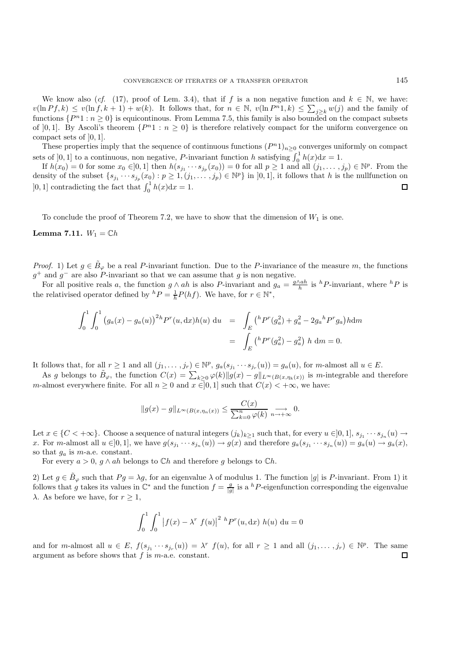We know also (*cf.* (17), proof of Lem. 3.4), that if f is a non negative function and  $k \in \mathbb{N}$ , we have:  $v(\ln Pf, k) \le v(\ln f, k + 1) + w(k)$ . It follows that, for  $n \in \mathbb{N}$ ,  $v(\ln P^n, k) \le \sum_{j \ge k} w(j)$  and the family of functions  $\{P^n 1 : n \geq 0\}$  is equicontinous. From Lemma 7.5, this family is also bounded on the compact subsets of [0,1]. By Ascoli's theorem  $\{P^{n_1} : n \geq 0\}$  is therefore relatively compact for the uniform convergence on compact sets of ]0, 1].

These properties imply that the sequence of continuous functions  $(P<sup>n</sup>1)<sub>n≥0</sub>$  converges uniformly on compact sets of [0, 1] to a continuous, non negative, P-invariant function h satisfying  $\int_0^1 h(x) dx = 1$ .

If  $h(x_0) = 0$  for some  $x_0 \in ]0,1]$  then  $h(s_{j_1} \cdots s_{j_p}(x_0)) = 0$  for all  $p \ge 1$  and all  $(j_1,\ldots,j_p) \in \mathbb{N}^p$ . From the density of the subset  $\{s_{j_1} \cdots s_{j_p}(x_0) : p \ge 1, (j_1, \ldots, j_p) \in \mathbb{N}^p\}$  in  $]0,1]$ , it follows that h is the nullfunction on [0, 1] contradicting the fact that  $\int_0^1 h(x) dx = 1$ .  $\Box$ 

To conclude the proof of Theorem 7.2, we have to show that the dimension of  $W_1$  is one.

#### **Lemma 7.11.**  $W_1 = \mathbb{C}h$

*Proof.* 1) Let  $g \in \mathcal{B}_{\varphi}$  be a real P-invariant function. Due to the P-invariance of the measure m, the functions  $g^+$  and  $g^-$  are also P-invariant so that we can assume that g is non negative.

For all positive reals a, the function  $g \wedge ah$  is also P-invariant and  $g_a = \frac{g \wedge ah}{h}$  is  ${}^h$ P-invariant, where  ${}^h$ P is the relativised operator defined by  ${}^h P = \frac{1}{h} P(hf)$ . We have, for  $r \in \mathbb{N}^*$ ,

$$
\int_0^1 \int_0^1 (g_a(x) - g_a(u))^{2h} P^r(u, dx) h(u) \, du = \int_E {h P^r(g_a^2) + g_a^2 - 2g_a{}^h P^r g_a} h dm
$$
  
= 
$$
\int_E {h P^r(g_a^2) - g_a^2} h \, dm = 0.
$$

It follows that, for all  $r \ge 1$  and all  $(j_1,\ldots,j_r) \in \mathbb{N}^p$ ,  $g_a(s_{j_1}\cdots s_{j_r}(u)) = g_a(u)$ , for m-almost all  $u \in E$ .

As g belongs to  $\tilde{B}_{\varphi}$ , the function  $C(x) = \sum_{k\geq 0} \varphi(k) ||g(x) - g||_{L^{\infty}(B(x,\eta_k(x)))}$  is m-integrable and therefore m-almost everywhere finite. For all  $n \geq 0$  and  $x \in ]0,1]$  such that  $C(x) < +\infty$ , we have:

$$
||g(x)-g||_{L^{\infty}(B(x,\eta_n(x))} \leq \frac{C(x)}{\sum_{k=0}^n \varphi(k)} \xrightarrow[n \to +\infty]{} 0.
$$

Let  $x \in \{C < +\infty\}$ . Choose a sequence of natural integers  $(j_k)_{k\geq 1}$  such that, for every  $u \in ]0,1]$ ,  $s_{j_1} \cdots s_{j_n} (u) \to$ x. For m-almost all  $u \in ]0,1]$ , we have  $g(s_{j_1} \cdots s_{j_n}(u)) \to g(x)$  and therefore  $g_a(s_{j_1} \cdots s_{j_n}(u)) = g_a(u) \to g_a(x)$ , so that  $g_a$  is *m*-a.e. constant.

For every  $a > 0$ ,  $g \wedge ah$  belongs to  $\mathbb{C}h$  and therefore g belongs to  $\mathbb{C}h$ .

2) Let  $g \in B_\varphi$  such that  $Pg = \lambda g$ , for an eigenvalue  $\lambda$  of modulus 1. The function |g| is P-invariant. From 1) it follows that g takes its values in  $\mathbb{C}^*$  and the function  $f = \frac{g}{|g|}$  is a <sup>h</sup>P-eigenfunction corresponding the eigenvalue  $\lambda$ . As before we have, for  $r \geq 1$ ,

$$
\int_0^1 \int_0^1 |f(x) - \lambda^r f(u)|^{2h} P^r(u, dx) h(u) du = 0
$$

and for m-almost all  $u \in E$ ,  $f(s_{j_1} \cdots s_{j_r}(u)) = \lambda^r f(u)$ , for all  $r \ge 1$  and all  $(j_1, \ldots, j_r) \in \mathbb{N}^p$ . The same argument as before shows that  $f$  is  $m$ -a.e. constant. П